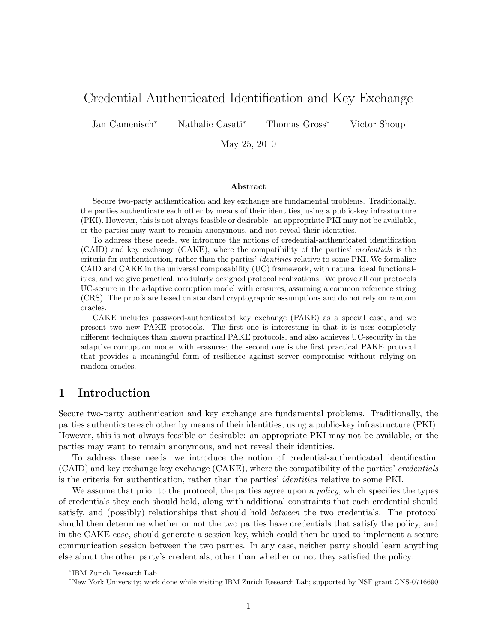# Credential Authenticated Identification and Key Exchange

Jan Camenisch<sup>∗</sup> Nathalie Casati<sup>∗</sup> Thomas Gross<sup>∗</sup> Victor Shoup†

May 25, 2010

#### Abstract

Secure two-party authentication and key exchange are fundamental problems. Traditionally, the parties authenticate each other by means of their identities, using a public-key infrastucture (PKI). However, this is not always feasible or desirable: an appropriate PKI may not be available, or the parties may want to remain anonymous, and not reveal their identities.

To address these needs, we introduce the notions of credential-authenticated identification (CAID) and key exchange (CAKE), where the compatibility of the parties' credentials is the criteria for authentication, rather than the parties' identities relative to some PKI. We formalize CAID and CAKE in the universal composability (UC) framework, with natural ideal functionalities, and we give practical, modularly designed protocol realizations. We prove all our protocols UC-secure in the adaptive corruption model with erasures, assuming a common reference string (CRS). The proofs are based on standard cryptographic assumptions and do not rely on random oracles.

CAKE includes password-authenticated key exchange (PAKE) as a special case, and we present two new PAKE protocols. The first one is interesting in that it is uses completely different techniques than known practical PAKE protocols, and also achieves UC-security in the adaptive corruption model with erasures; the second one is the first practical PAKE protocol that provides a meaningful form of resilience against server compromise without relying on random oracles.

# 1 Introduction

Secure two-party authentication and key exchange are fundamental problems. Traditionally, the parties authenticate each other by means of their identities, using a public-key infrastructure (PKI). However, this is not always feasible or desirable: an appropriate PKI may not be available, or the parties may want to remain anonymous, and not reveal their identities.

To address these needs, we introduce the notion of credential-authenticated identification (CAID) and key exchange key exchange (CAKE), where the compatibility of the parties' credentials is the criteria for authentication, rather than the parties' identities relative to some PKI.

We assume that prior to the protocol, the parties agree upon a *policy*, which specifies the types of credentials they each should hold, along with additional constraints that each credential should satisfy, and (possibly) relationships that should hold between the two credentials. The protocol should then determine whether or not the two parties have credentials that satisfy the policy, and in the CAKE case, should generate a session key, which could then be used to implement a secure communication session between the two parties. In any case, neither party should learn anything else about the other party's credentials, other than whether or not they satisfied the policy.

<sup>∗</sup> IBM Zurich Research Lab

<sup>†</sup>New York University; work done while visiting IBM Zurich Research Lab; supported by NSF grant CNS-0716690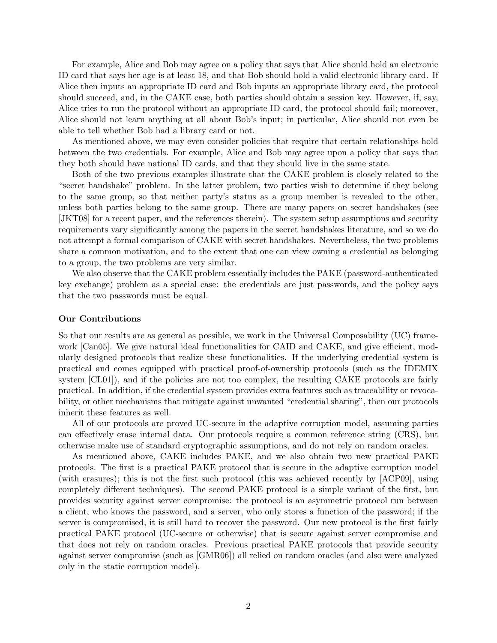For example, Alice and Bob may agree on a policy that says that Alice should hold an electronic ID card that says her age is at least 18, and that Bob should hold a valid electronic library card. If Alice then inputs an appropriate ID card and Bob inputs an appropriate library card, the protocol should succeed, and, in the CAKE case, both parties should obtain a session key. However, if, say, Alice tries to run the protocol without an appropriate ID card, the protocol should fail; moreover, Alice should not learn anything at all about Bob's input; in particular, Alice should not even be able to tell whether Bob had a library card or not.

As mentioned above, we may even consider policies that require that certain relationships hold between the two credentials. For example, Alice and Bob may agree upon a policy that says that they both should have national ID cards, and that they should live in the same state.

Both of the two previous examples illustrate that the CAKE problem is closely related to the "secret handshake" problem. In the latter problem, two parties wish to determine if they belong to the same group, so that neither party's status as a group member is revealed to the other, unless both parties belong to the same group. There are many papers on secret handshakes (see [JKT08] for a recent paper, and the references therein). The system setup assumptions and security requirements vary significantly among the papers in the secret handshakes literature, and so we do not attempt a formal comparison of CAKE with secret handshakes. Nevertheless, the two problems share a common motivation, and to the extent that one can view owning a credential as belonging to a group, the two problems are very similar.

We also observe that the CAKE problem essentially includes the PAKE (password-authenticated key exchange) problem as a special case: the credentials are just passwords, and the policy says that the two passwords must be equal.

#### Our Contributions

So that our results are as general as possible, we work in the Universal Composability (UC) framework [Can05]. We give natural ideal functionalities for CAID and CAKE, and give efficient, modularly designed protocols that realize these functionalities. If the underlying credential system is practical and comes equipped with practical proof-of-ownership protocols (such as the IDEMIX system [CL01]), and if the policies are not too complex, the resulting CAKE protocols are fairly practical. In addition, if the credential system provides extra features such as traceability or revocability, or other mechanisms that mitigate against unwanted "credential sharing", then our protocols inherit these features as well.

All of our protocols are proved UC-secure in the adaptive corruption model, assuming parties can effectively erase internal data. Our protocols require a common reference string (CRS), but otherwise make use of standard cryptographic assumptions, and do not rely on random oracles.

As mentioned above, CAKE includes PAKE, and we also obtain two new practical PAKE protocols. The first is a practical PAKE protocol that is secure in the adaptive corruption model (with erasures); this is not the first such protocol (this was achieved recently by [ACP09], using completely different techniques). The second PAKE protocol is a simple variant of the first, but provides security against server compromise: the protocol is an asymmetric protocol run between a client, who knows the password, and a server, who only stores a function of the password; if the server is compromised, it is still hard to recover the password. Our new protocol is the first fairly practical PAKE protocol (UC-secure or otherwise) that is secure against server compromise and that does not rely on random oracles. Previous practical PAKE protocols that provide security against server compromise (such as [GMR06]) all relied on random oracles (and also were analyzed only in the static corruption model).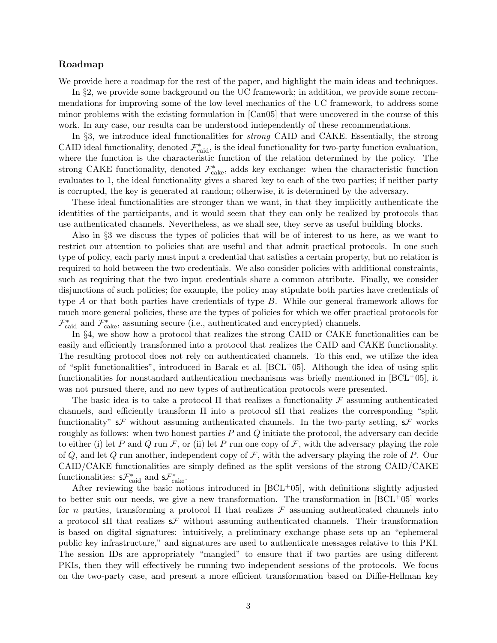## Roadmap

We provide here a roadmap for the rest of the paper, and highlight the main ideas and techniques.

In §2, we provide some background on the UC framework; in addition, we provide some recommendations for improving some of the low-level mechanics of the UC framework, to address some minor problems with the existing formulation in [Can05] that were uncovered in the course of this work. In any case, our results can be understood independently of these recommendations.

In §3, we introduce ideal functionalities for strong CAID and CAKE. Essentially, the strong CAID ideal functionality, denoted  $\mathcal{F}^*_{\text{caid}}$ , is the ideal functionality for two-party function evaluation, where the function is the characteristic function of the relation determined by the policy. The strong CAKE functionality, denoted  $\mathcal{F}^*_{\text{cake}}$ , adds key exchange: when the characteristic function evaluates to 1, the ideal functionality gives a shared key to each of the two parties; if neither party is corrupted, the key is generated at random; otherwise, it is determined by the adversary.

These ideal functionalities are stronger than we want, in that they implicitly authenticate the identities of the participants, and it would seem that they can only be realized by protocols that use authenticated channels. Nevertheless, as we shall see, they serve as useful building blocks.

Also in §3 we discuss the types of policies that will be of interest to us here, as we want to restrict our attention to policies that are useful and that admit practical protocols. In one such type of policy, each party must input a credential that satisfies a certain property, but no relation is required to hold between the two credentials. We also consider policies with additional constraints, such as requiring that the two input credentials share a common attribute. Finally, we consider disjunctions of such policies; for example, the policy may stipulate both parties have credentials of type A or that both parties have credentials of type B. While our general framework allows for much more general policies, these are the types of policies for which we offer practical protocols for  $\mathcal{F}^*_{\text{caid}}$  and  $\mathcal{F}^*_{\text{cake}}$ , assuming secure (i.e., authenticated and encrypted) channels.

In §4, we show how a protocol that realizes the strong CAID or CAKE functionalities can be easily and efficiently transformed into a protocol that realizes the CAID and CAKE functionality. The resulting protocol does not rely on authenticated channels. To this end, we utilize the idea of "split functionalities", introduced in Barak et al.  $[BCL<sup>+</sup>05]$ . Although the idea of using split functionalities for nonstandard authentication mechanisms was briefly mentioned in  $[BCL+05]$ , it was not pursued there, and no new types of authentication protocols were presented.

The basic idea is to take a protocol  $\Pi$  that realizes a functionality  $\mathcal F$  assuming authenticated channels, and efficiently transform Π into a protocol sΠ that realizes the corresponding "split functionality"  $s\mathcal{F}$  without assuming authenticated channels. In the two-party setting,  $s\mathcal{F}$  works roughly as follows: when two honest parties  $P$  and  $Q$  initiate the protocol, the adversary can decide to either (i) let P and Q run F, or (ii) let P run one copy of F, with the adversary playing the role of  $Q$ , and let  $Q$  run another, independent copy of  $\mathcal F$ , with the adversary playing the role of  $P$ . Our CAID/CAKE functionalities are simply defined as the split versions of the strong CAID/CAKE functionalities:  $s \mathcal{F}^*_{\text{caid}}$  and  $s \mathcal{F}^*_{\text{cake}}$ .

After reviewing the basic notions introduced in  $[BCL<sup>+</sup>05]$ , with definitions slightly adjusted to better suit our needs, we give a new transformation. The transformation in  $[BCL<sup>+</sup>05]$  works for n parties, transforming a protocol  $\Pi$  that realizes  $\mathcal F$  assuming authenticated channels into a protocol sΠ that realizes  $\mathfrak{S}$  without assuming authenticated channels. Their transformation is based on digital signatures: intuitively, a preliminary exchange phase sets up an "ephemeral public key infrastructure," and signatures are used to authenticate messages relative to this PKI. The session IDs are appropriately "mangled" to ensure that if two parties are using different PKIs, then they will effectively be running two independent sessions of the protocols. We focus on the two-party case, and present a more efficient transformation based on Diffie-Hellman key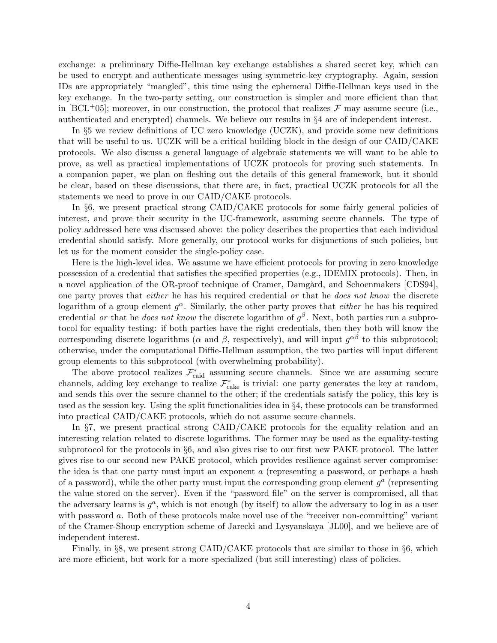exchange: a preliminary Diffie-Hellman key exchange establishes a shared secret key, which can be used to encrypt and authenticate messages using symmetric-key cryptography. Again, session IDs are appropriately "mangled", this time using the ephemeral Diffie-Hellman keys used in the key exchange. In the two-party setting, our construction is simpler and more efficient than that in [BCL<sup>+</sup>05]; moreover, in our construction, the protocol that realizes  $\mathcal F$  may assume secure (i.e., authenticated and encrypted) channels. We believe our results in §4 are of independent interest.

In §5 we review definitions of UC zero knowledge (UCZK), and provide some new definitions that will be useful to us. UCZK will be a critical building block in the design of our CAID/CAKE protocols. We also discuss a general language of algebraic statements we will want to be able to prove, as well as practical implementations of UCZK protocols for proving such statements. In a companion paper, we plan on fleshing out the details of this general framework, but it should be clear, based on these discussions, that there are, in fact, practical UCZK protocols for all the statements we need to prove in our CAID/CAKE protocols.

In §6, we present practical strong CAID/CAKE protocols for some fairly general policies of interest, and prove their security in the UC-framework, assuming secure channels. The type of policy addressed here was discussed above: the policy describes the properties that each individual credential should satisfy. More generally, our protocol works for disjunctions of such policies, but let us for the moment consider the single-policy case.

Here is the high-level idea. We assume we have efficient protocols for proving in zero knowledge possession of a credential that satisfies the specified properties (e.g., IDEMIX protocols). Then, in a novel application of the OR-proof technique of Cramer, Damgård, and Schoenmakers [CDS94], one party proves that *either* he has his required credential or that he *does not know* the discrete logarithm of a group element  $g^{\alpha}$ . Similarly, the other party proves that *either* he has his required credential or that he *does not know* the discrete logarithm of  $g^{\beta}$ . Next, both parties run a subprotocol for equality testing: if both parties have the right credentials, then they both will know the corresponding discrete logarithms ( $\alpha$  and  $\beta$ , respectively), and will input  $g^{\alpha\beta}$  to this subprotocol; otherwise, under the computational Diffie-Hellman assumption, the two parties will input different group elements to this subprotocol (with overwhelming probability).

The above protocol realizes  $\mathcal{F}^*_{\text{caid}}$  assuming secure channels. Since we are assuming secure channels, adding key exchange to realize  $\mathcal{F}^*_{\text{cake}}$  is trivial: one party generates the key at random, and sends this over the secure channel to the other; if the credentials satisfy the policy, this key is used as the session key. Using the split functionalities idea in §4, these protocols can be transformed into practical CAID/CAKE protocols, which do not assume secure channels.

In §7, we present practical strong CAID/CAKE protocols for the equality relation and an interesting relation related to discrete logarithms. The former may be used as the equality-testing subprotocol for the protocols in §6, and also gives rise to our first new PAKE protocol. The latter gives rise to our second new PAKE protocol, which provides resilience against server compromise: the idea is that one party must input an exponent a (representing a password, or perhaps a hash of a password), while the other party must input the corresponding group element  $g^a$  (representing the value stored on the server). Even if the "password file" on the server is compromised, all that the adversary learns is  $g^a$ , which is not enough (by itself) to allow the adversary to log in as a user with password a. Both of these protocols make novel use of the "receiver non-committing" variant of the Cramer-Shoup encryption scheme of Jarecki and Lysyanskaya [JL00], and we believe are of independent interest.

Finally, in §8, we present strong CAID/CAKE protocols that are similar to those in §6, which are more efficient, but work for a more specialized (but still interesting) class of policies.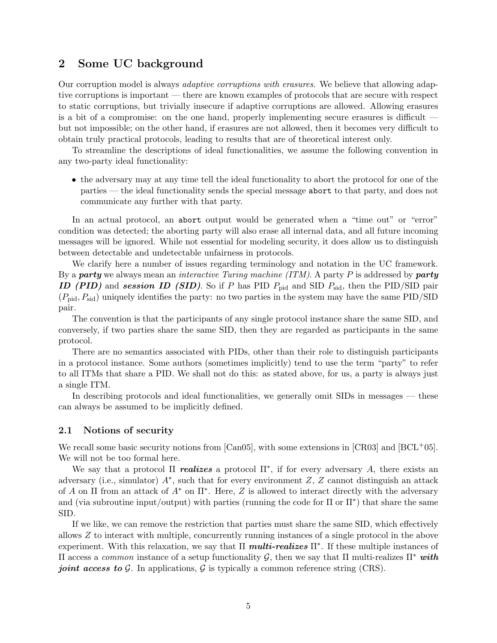# 2 Some UC background

Our corruption model is always adaptive corruptions with erasures. We believe that allowing adaptive corruptions is important — there are known examples of protocols that are secure with respect to static corruptions, but trivially insecure if adaptive corruptions are allowed. Allowing erasures is a bit of a compromise: on the one hand, properly implementing secure erasures is difficult but not impossible; on the other hand, if erasures are not allowed, then it becomes very difficult to obtain truly practical protocols, leading to results that are of theoretical interest only.

To streamline the descriptions of ideal functionalities, we assume the following convention in any two-party ideal functionality:

• the adversary may at any time tell the ideal functionality to abort the protocol for one of the parties — the ideal functionality sends the special message abort to that party, and does not communicate any further with that party.

In an actual protocol, an abort output would be generated when a "time out" or "error" condition was detected; the aborting party will also erase all internal data, and all future incoming messages will be ignored. While not essential for modeling security, it does allow us to distinguish between detectable and undetectable unfairness in protocols.

We clarify here a number of issues regarding terminology and notation in the UC framework. By a **party** we always mean an *interactive Turing machine (ITM)*. A party P is addressed by **party ID** (PID) and session **ID** (SID). So if P has PID  $P_{pid}$  and SID  $P_{sid}$ , then the PID/SID pair  $(P_{pid}, P_{sid})$  uniquely identifies the party: no two parties in the system may have the same PID/SID pair.

The convention is that the participants of any single protocol instance share the same SID, and conversely, if two parties share the same SID, then they are regarded as participants in the same protocol.

There are no semantics associated with PIDs, other than their role to distinguish participants in a protocol instance. Some authors (sometimes implicitly) tend to use the term "party" to refer to all ITMs that share a PID. We shall not do this: as stated above, for us, a party is always just a single ITM.

In describing protocols and ideal functionalities, we generally omit SIDs in messages — these can always be assumed to be implicitly defined.

#### 2.1 Notions of security

We recall some basic security notions from [Can05], with some extensions in [CR03] and [BCL+05]. We will not be too formal here.

We say that a protocol  $\Pi$  realizes a protocol  $\Pi^*$ , if for every adversary A, there exists an adversary (i.e., simulator)  $A^*$ , such that for every environment Z, Z cannot distinguish an attack of A on  $\Pi$  from an attack of  $A^*$  on  $\Pi^*$ . Here, Z is allowed to interact directly with the adversary and (via subroutine input/output) with parties (running the code for  $\Pi$  or  $\Pi^*$ ) that share the same SID.

If we like, we can remove the restriction that parties must share the same SID, which effectively allows Z to interact with multiple, concurrently running instances of a single protocol in the above experiment. With this relaxation, we say that  $\Pi$  multi-realizes  $\Pi^*$ . If these multiple instances of Π access a common instance of a setup functionality G, then we say that Π multi-realizes  $\Pi^*$  with joint access to G. In applications, G is typically a common reference string (CRS).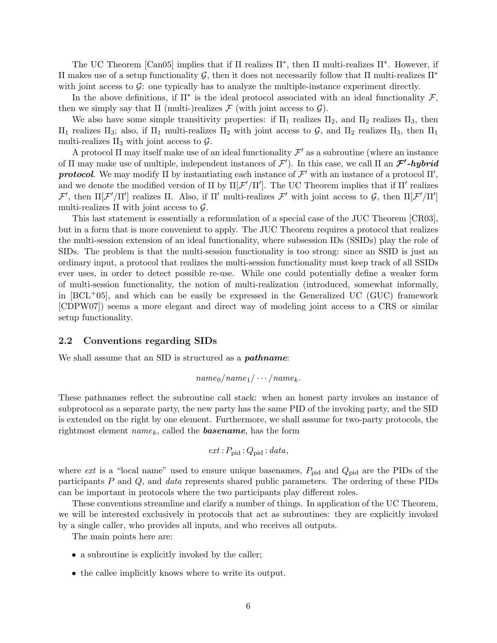The UC Theorem [Can05] implies that if  $\Pi$  realizes  $\Pi^*$ , then  $\Pi$  multi-realizes  $\Pi^*$ . However, if Π makes use of a setup functionality G, then it does not necessarily follow that Π multi-realizes Π<sup>∗</sup> with joint access to  $\mathcal{G}$ : one typically has to analyze the multiple-instance experiment directly.

In the above definitions, if  $\Pi^*$  is the ideal protocol associated with an ideal functionality  $\mathcal{F}$ , then we simply say that  $\Pi$  (multi-)realizes  $\mathcal F$  (with joint access to  $\mathcal G$ ).

We also have some simple transitivity properties: if  $\Pi_1$  realizes  $\Pi_2$ , and  $\Pi_2$  realizes  $\Pi_3$ , then  $\Pi_1$  realizes  $\Pi_3$ ; also, if  $\Pi_1$  multi-realizes  $\Pi_2$  with joint access to  $\mathcal{G}$ , and  $\Pi_2$  realizes  $\Pi_3$ , then  $\Pi_1$ multi-realizes  $\Pi_3$  with joint access to  $\mathcal{G}$ .

A protocol  $\Pi$  may itself make use of an ideal functionality  $\mathcal{F}'$  as a subroutine (where an instance of  $\Pi$  may make use of multiple, independent instances of  $\mathcal{F}'$ ). In this case, we call  $\Pi$  an  $\mathcal{F}'$ -hybrid **protocol**. We may modify  $\Pi$  by instantiating each instance of  $\mathcal{F}'$  with an instance of a protocol  $\Pi'$ , and we denote the modified version of  $\Pi$  by  $\Pi[\mathcal{F}'/\Pi']$ . The UC Theorem implies that if  $\Pi'$  realizes  $\mathcal{F}'$ , then Π[ $\mathcal{F}'/\Pi'$ ] realizes Π. Also, if Π' multi-realizes  $\mathcal{F}'$  with joint access to  $\mathcal{G}$ , then Π[ $\mathcal{F}'/\Pi'$ ] multi-realizes  $\Pi$  with joint access to  $\mathcal{G}$ .

This last statement is essentially a reformulation of a special case of the JUC Theorem [CR03], but in a form that is more convenient to apply. The JUC Theorem requires a protocol that realizes the multi-session extension of an ideal functionality, where subsession IDs (SSIDs) play the role of SIDs. The problem is that the multi-session functionality is too strong: since an SSID is just an ordinary input, a protocol that realizes the multi-session functionality must keep track of all SSIDs ever uses, in order to detect possible re-use. While one could potentially define a weaker form of multi-session functionality, the notion of multi-realization (introduced, somewhat informally, in  $[BCL+05]$ , and which can be easily be expressed in the Generalized UC (GUC) framework [CDPW07]) seems a more elegant and direct way of modeling joint access to a CRS or similar setup functionality.

### 2.2 Conventions regarding SIDs

We shall assume that an SID is structured as a *pathname*:

$$
name_0 / name_1 / \cdots / name_k.
$$

These pathnames reflect the subroutine call stack: when an honest party invokes an instance of subprotocol as a separate party, the new party has the same PID of the invoking party, and the SID is extended on the right by one element. Furthermore, we shall assume for two-party protocols, the rightmost element  $name_k$ , called the **basename**, has the form

$$
ext: P_{pid}: Q_{pid}: data,
$$

where *ext* is a "local name" used to ensure unique basenames,  $P_{pid}$  and  $Q_{pid}$  are the PIDs of the participants  $P$  and  $Q$ , and data represents shared public parameters. The ordering of these PIDs can be important in protocols where the two participants play different roles.

These conventions streamline and clarify a number of things. In application of the UC Theorem, we will be interested exclusively in protocols that act as subroutines: they are explicitly invoked by a single caller, who provides all inputs, and who receives all outputs.

The main points here are:

- a subroutine is explicitly invoked by the caller;
- the callee implicitly knows where to write its output.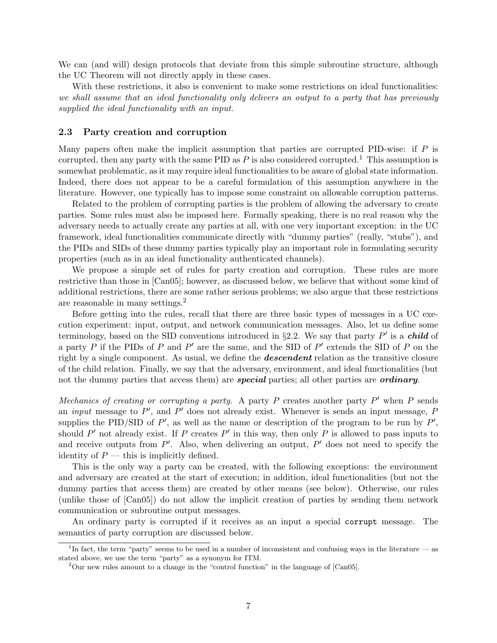We can (and will) design protocols that deviate from this simple subroutine structure, although the UC Theorem will not directly apply in these cases.

With these restrictions, it also is convenient to make some restrictions on ideal functionalities: we shall assume that an ideal functionality only delivers an output to a party that has previously supplied the ideal functionality with an input.

#### 2.3 Party creation and corruption

Many papers often make the implicit assumption that parties are corrupted PID-wise: if  $P$  is corrupted, then any party with the same PID as  $P$  is also considered corrupted.<sup>1</sup> This assumption is somewhat problematic, as it may require ideal functionalities to be aware of global state information. Indeed, there does not appear to be a careful formulation of this assumption anywhere in the literature. However, one typically has to impose some constraint on allowable corruption patterns.

Related to the problem of corrupting parties is the problem of allowing the adversary to create parties. Some rules must also be imposed here. Formally speaking, there is no real reason why the adversary needs to actually create any parties at all, with one very important exception: in the UC framework, ideal functionalities communicate directly with "dummy parties" (really, "stubs"), and the PIDs and SIDs of these dummy parties typically play an important role in formulating security properties (such as in an ideal functionality authenticated channels).

We propose a simple set of rules for party creation and corruption. These rules are more restrictive than those in [Can05]; however, as discussed below, we believe that without some kind of additional restrictions, there are some rather serious problems; we also argue that these restrictions are reasonable in many settings.<sup>2</sup>

Before getting into the rules, recall that there are three basic types of messages in a UC execution experiment: input, output, and network communication messages. Also, let us define some terminology, based on the SID conventions introduced in  $\S2.2$ . We say that party P' is a **child** of a party P if the PIDs of P and P' are the same, and the SID of P' extends the SID of P on the right by a single component. As usual, we define the *descendent* relation as the transitive closure of the child relation. Finally, we say that the adversary, environment, and ideal functionalities (but not the dummy parties that access them) are **special** parties; all other parties are *ordinary*.

Mechanics of creating or corrupting a party. A party  $P$  creates another party  $P'$  when  $P$  sends an *input* message to  $P'$ , and  $P'$  does not already exist. Whenever is sends an input message,  $P$ supplies the PID/SID of  $P'$ , as well as the name or description of the program to be run by  $P'$ , should  $P'$  not already exist. If P creates  $P'$  in this way, then only P is allowed to pass inputs to and receive outputs from  $P'$ . Also, when delivering an output,  $P'$  does not need to specify the identity of  $P$  — this is implicitly defined.

This is the only way a party can be created, with the following exceptions: the environment and adversary are created at the start of execution; in addition, ideal functionalities (but not the dummy parties that access them) are created by other means (see below). Otherwise, our rules (unlike those of [Can05]) do not allow the implicit creation of parties by sending them network communication or subroutine output messages.

An ordinary party is corrupted if it receives as an input a special corrupt message. The semantics of party corruption are discussed below.

 ${}^{1}$ In fact, the term "party" seems to be used in a number of inconsistent and confusing ways in the literature — as stated above, we use the term "party" as a synonym for ITM.

<sup>&</sup>lt;sup>2</sup>Our new rules amount to a change in the "control function" in the language of  $[Can05]$ .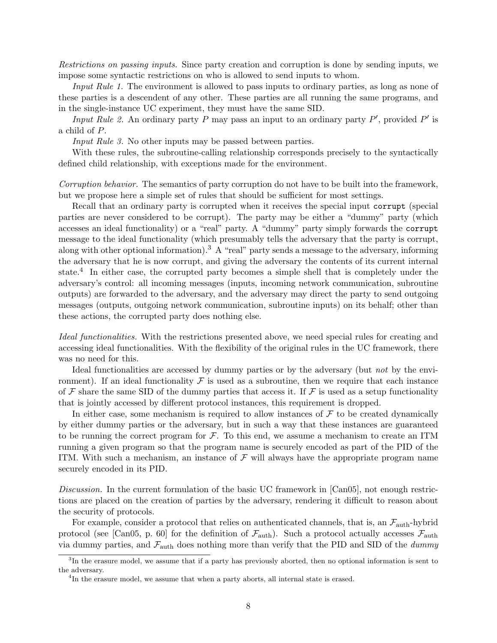Restrictions on passing inputs. Since party creation and corruption is done by sending inputs, we impose some syntactic restrictions on who is allowed to send inputs to whom.

Input Rule 1. The environment is allowed to pass inputs to ordinary parties, as long as none of these parties is a descendent of any other. These parties are all running the same programs, and in the single-instance UC experiment, they must have the same SID.

Input Rule 2. An ordinary party P may pass an input to an ordinary party  $P'$ , provided  $P'$  is a child of P.

Input Rule 3. No other inputs may be passed between parties.

With these rules, the subroutine-calling relationship corresponds precisely to the syntactically defined child relationship, with exceptions made for the environment.

Corruption behavior. The semantics of party corruption do not have to be built into the framework, but we propose here a simple set of rules that should be sufficient for most settings.

Recall that an ordinary party is corrupted when it receives the special input corrupt (special parties are never considered to be corrupt). The party may be either a "dummy" party (which accesses an ideal functionality) or a "real" party. A "dummy" party simply forwards the corrupt message to the ideal functionality (which presumably tells the adversary that the party is corrupt, along with other optional information).<sup>3</sup> A "real" party sends a message to the adversary, informing the adversary that he is now corrupt, and giving the adversary the contents of its current internal state.<sup>4</sup> In either case, the corrupted party becomes a simple shell that is completely under the adversary's control: all incoming messages (inputs, incoming network communication, subroutine outputs) are forwarded to the adversary, and the adversary may direct the party to send outgoing messages (outputs, outgoing network communication, subroutine inputs) on its behalf; other than these actions, the corrupted party does nothing else.

Ideal functionalities. With the restrictions presented above, we need special rules for creating and accessing ideal functionalities. With the flexibility of the original rules in the UC framework, there was no need for this.

Ideal functionalities are accessed by dummy parties or by the adversary (but not by the environment). If an ideal functionality  $\mathcal F$  is used as a subroutine, then we require that each instance of  $\mathcal F$  share the same SID of the dummy parties that access it. If  $\mathcal F$  is used as a setup functionality that is jointly accessed by different protocol instances, this requirement is dropped.

In either case, some mechanism is required to allow instances of  $\mathcal F$  to be created dynamically by either dummy parties or the adversary, but in such a way that these instances are guaranteed to be running the correct program for  $\mathcal F$ . To this end, we assume a mechanism to create an ITM running a given program so that the program name is securely encoded as part of the PID of the ITM. With such a mechanism, an instance of  $\mathcal F$  will always have the appropriate program name securely encoded in its PID.

Discussion. In the current formulation of the basic UC framework in [Can05], not enough restrictions are placed on the creation of parties by the adversary, rendering it difficult to reason about the security of protocols.

For example, consider a protocol that relies on authenticated channels, that is, an  $\mathcal{F}_{\text{auth}}$ -hybrid protocol (see [Can05, p. 60] for the definition of  $\mathcal{F}_{\text{auth}}$ ). Such a protocol actually accesses  $\mathcal{F}_{\text{auth}}$ via dummy parties, and  $\mathcal{F}_{\text{auth}}$  does nothing more than verify that the PID and SID of the *dummy* 

<sup>&</sup>lt;sup>3</sup>In the erasure model, we assume that if a party has previously aborted, then no optional information is sent to the adversary.

<sup>&</sup>lt;sup>4</sup>In the erasure model, we assume that when a party aborts, all internal state is erased.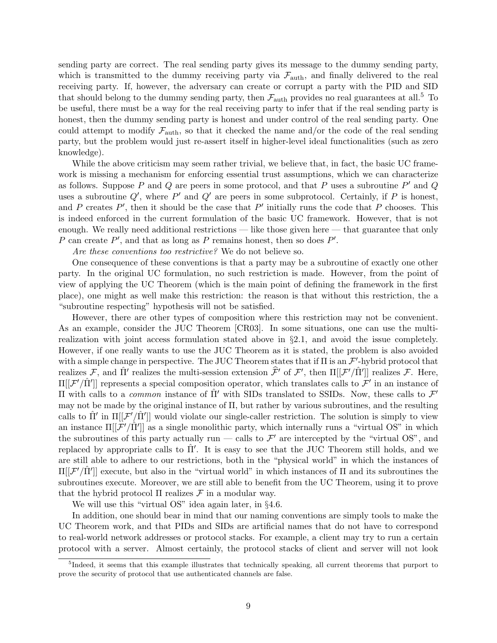sending party are correct. The real sending party gives its message to the dummy sending party, which is transmitted to the dummy receiving party via  $\mathcal{F}_{\text{auth}}$ , and finally delivered to the real receiving party. If, however, the adversary can create or corrupt a party with the PID and SID that should belong to the dummy sending party, then  $\mathcal{F}_{\text{auth}}$  provides no real guarantees at all.<sup>5</sup> To be useful, there must be a way for the real receiving party to infer that if the real sending party is honest, then the dummy sending party is honest and under control of the real sending party. One could attempt to modify  $\mathcal{F}_{\text{auth}}$ , so that it checked the name and/or the code of the real sending party, but the problem would just re-assert itself in higher-level ideal functionalities (such as zero knowledge).

While the above criticism may seem rather trivial, we believe that, in fact, the basic UC framework is missing a mechanism for enforcing essential trust assumptions, which we can characterize as follows. Suppose P and Q are peers in some protocol, and that P uses a subroutine  $P'$  and Q uses a subroutine  $Q'$ , where  $P'$  and  $Q'$  are peers in some subprotocol. Certainly, if P is honest, and P creates  $P'$ , then it should be the case that P' initially runs the code that P chooses. This is indeed enforced in the current formulation of the basic UC framework. However, that is not enough. We really need additional restrictions — like those given here — that guarantee that only P can create  $P'$ , and that as long as P remains honest, then so does  $P'$ .

Are these conventions too restrictive? We do not believe so.

One consequence of these conventions is that a party may be a subroutine of exactly one other party. In the original UC formulation, no such restriction is made. However, from the point of view of applying the UC Theorem (which is the main point of defining the framework in the first place), one might as well make this restriction: the reason is that without this restriction, the a "subroutine respecting" hypothesis will not be satisfied.

However, there are other types of composition where this restriction may not be convenient. As an example, consider the JUC Theorem [CR03]. In some situations, one can use the multirealization with joint access formulation stated above in §2.1, and avoid the issue completely. However, if one really wants to use the JUC Theorem as it is stated, the problem is also avoided with a simple change in perspective. The JUC Theorem states that if  $\Pi$  is an  $\mathcal{F}'$ -hybrid protocol that realizes  $\mathcal{F}$ , and  $\hat{\Pi}'$  realizes the multi-session extension  $\hat{\mathcal{F}}'$  of  $\mathcal{F}'$ , then  $\Pi[[\mathcal{F}'/\hat{\Pi}']]$  realizes  $\mathcal{F}$ . Here,  $\Pi[[\mathcal{F}'/\hat{\Pi}']]$  represents a special composition operator, which translates calls to  $\mathcal{F}'$  in an instance of II with calls to a *common* instance of  $\hat{\Pi}'$  with SIDs translated to SSIDs. Now, these calls to  $\mathcal{F}'$ may not be made by the original instance of  $\Pi$ , but rather by various subroutines, and the resulting calls to  $\hat{\Pi}'$  in  $\Pi[[\mathcal{F}'/\hat{\Pi}']]$  would violate our single-caller restriction. The solution is simply to view an instance  $\Pi[[\mathcal{F}'/\hat{\Pi}']]$  as a single monolithic party, which internally runs a "virtual OS" in which the subroutines of this party actually run — calls to  $\mathcal{F}'$  are intercepted by the "virtual OS", and replaced by appropriate calls to  $\hat{\Pi}'$ . It is easy to see that the JUC Theorem still holds, and we are still able to adhere to our restrictions, both in the "physical world" in which the instances of  $\Pi[[\mathcal{F}'/\hat{\Pi}']]$  execute, but also in the "virtual world" in which instances of  $\Pi$  and its subroutines the subroutines execute. Moreover, we are still able to benefit from the UC Theorem, using it to prove that the hybrid protocol  $\Pi$  realizes  $\mathcal F$  in a modular way.

We will use this "virtual OS" idea again later, in §4.6.

In addition, one should bear in mind that our naming conventions are simply tools to make the UC Theorem work, and that PIDs and SIDs are artificial names that do not have to correspond to real-world network addresses or protocol stacks. For example, a client may try to run a certain protocol with a server. Almost certainly, the protocol stacks of client and server will not look

<sup>&</sup>lt;sup>5</sup>Indeed, it seems that this example illustrates that technically speaking, all current theorems that purport to prove the security of protocol that use authenticated channels are false.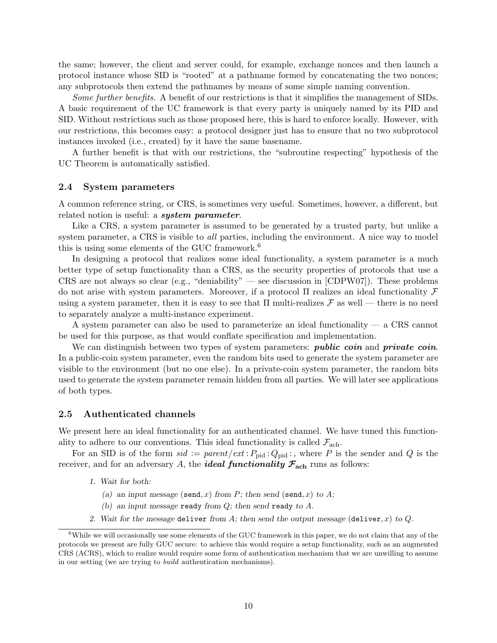the same; however, the client and server could, for example, exchange nonces and then launch a protocol instance whose SID is "rooted" at a pathname formed by concatenating the two nonces; any subprotocols then extend the pathnames by means of some simple naming convention.

Some further benefits. A benefit of our restrictions is that it simplifies the management of SIDs. A basic requirement of the UC framework is that every party is uniquely named by its PID and SID. Without restrictions such as those proposed here, this is hard to enforce locally. However, with our restrictions, this becomes easy: a protocol designer just has to ensure that no two subprotocol instances invoked (i.e., created) by it have the same basename.

A further benefit is that with our restrictions, the "subroutine respecting" hypothesis of the UC Theorem is automatically satisfied.

#### 2.4 System parameters

A common reference string, or CRS, is sometimes very useful. Sometimes, however, a different, but related notion is useful: a **system parameter**.

Like a CRS, a system parameter is assumed to be generated by a trusted party, but unlike a system parameter, a CRS is visible to *all* parties, including the environment. A nice way to model this is using some elements of the GUC framework.<sup>6</sup>

In designing a protocol that realizes some ideal functionality, a system parameter is a much better type of setup functionality than a CRS, as the security properties of protocols that use a CRS are not always so clear (e.g., "deniability" — see discussion in  $[CDPW07]$ ). These problems do not arise with system parameters. Moreover, if a protocol Π realizes an ideal functionality F using a system parameter, then it is easy to see that  $\Pi$  multi-realizes  $\mathcal F$  as well — there is no need to separately analyze a multi-instance experiment.

A system parameter can also be used to parameterize an ideal functionality  $-$  a CRS cannot be used for this purpose, as that would conflate specification and implementation.

We can distinguish between two types of system parameters: *public coin* and *private coin*. In a public-coin system parameter, even the random bits used to generate the system parameter are visible to the environment (but no one else). In a private-coin system parameter, the random bits used to generate the system parameter remain hidden from all parties. We will later see applications of both types.

## 2.5 Authenticated channels

We present here an ideal functionality for an authenticated channel. We have tuned this functionality to adhere to our conventions. This ideal functionality is called  $\mathcal{F}_{\text{ach}}$ .

For an SID is of the form  $sid := parent/ext : P_{pid} : Q_{pid} :$ , where P is the sender and Q is the receiver, and for an adversary A, the *ideal functionality*  $\mathcal{F}_{\text{ach}}$  runs as follows:

1. Wait for both:

- (a) an input message (send, x) from P; then send (send, x) to A;
- (b) an input message ready from  $Q$ ; then send ready to  $A$ .
- 2. Wait for the message deliver from A; then send the output message (deliver, x) to  $Q$ .

 $6$ While we will occasionally use some elements of the GUC framework in this paper, we do not claim that any of the protocols we present are fully GUC secure: to achieve this would require a setup functionality, such as an augmented CRS (ACRS), which to realize would require some form of authentication mechanism that we are unwilling to assume in our setting (we are trying to build authentication mechanisms).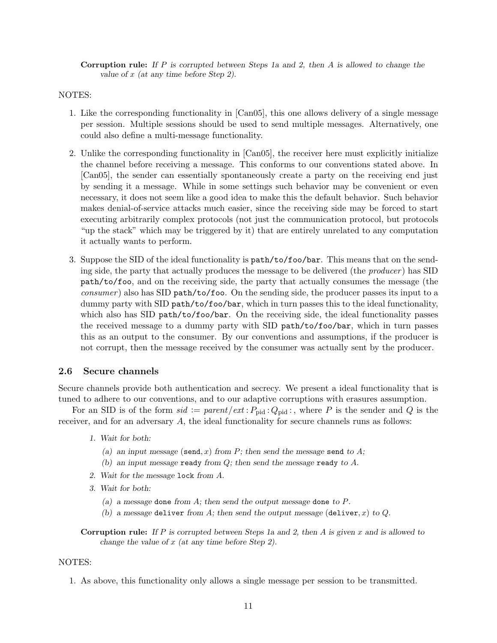**Corruption rule:** If P is corrupted between Steps 1a and 2, then A is allowed to change the value of x (at any time before Step 2).

## NOTES:

- 1. Like the corresponding functionality in [Can05], this one allows delivery of a single message per session. Multiple sessions should be used to send multiple messages. Alternatively, one could also define a multi-message functionality.
- 2. Unlike the corresponding functionality in [Can05], the receiver here must explicitly initialize the channel before receiving a message. This conforms to our conventions stated above. In [Can05], the sender can essentially spontaneously create a party on the receiving end just by sending it a message. While in some settings such behavior may be convenient or even necessary, it does not seem like a good idea to make this the default behavior. Such behavior makes denial-of-service attacks much easier, since the receiving side may be forced to start executing arbitrarily complex protocols (not just the communication protocol, but protocols "up the stack" which may be triggered by it) that are entirely unrelated to any computation it actually wants to perform.
- 3. Suppose the SID of the ideal functionality is path/to/foo/bar. This means that on the sending side, the party that actually produces the message to be delivered (the *producer*) has SID path/to/foo, and on the receiving side, the party that actually consumes the message (the  $cosumer$ ) also has SID path/to/foo. On the sending side, the producer passes its input to a dummy party with SID path/to/foo/bar, which in turn passes this to the ideal functionality, which also has SID path/to/foo/bar. On the receiving side, the ideal functionality passes the received message to a dummy party with SID path/to/foo/bar, which in turn passes this as an output to the consumer. By our conventions and assumptions, if the producer is not corrupt, then the message received by the consumer was actually sent by the producer.

#### 2.6 Secure channels

Secure channels provide both authentication and secrecy. We present a ideal functionality that is tuned to adhere to our conventions, and to our adaptive corruptions with erasures assumption.

For an SID is of the form  $sid := parent/ext : P_{pid} : Q_{pid} :$ , where P is the sender and Q is the receiver, and for an adversary  $A$ , the ideal functionality for secure channels runs as follows:

- 1. Wait for both:
	- (a) an input message (send, x) from  $P$ ; then send the message send to  $A$ ;
	- (b) an input message ready from  $Q$ ; then send the message ready to A.
- 2. Wait for the message lock from A.
- 3. Wait for both:
	- (a) a message done from A; then send the output message done to  $P$ .
	- (b) a message deliver from A; then send the output message (deliver, x) to  $Q$ .

**Corruption rule:** If P is corrupted between Steps 1a and 2, then A is given x and is allowed to change the value of x (at any time before Step 2).

#### NOTES:

1. As above, this functionality only allows a single message per session to be transmitted.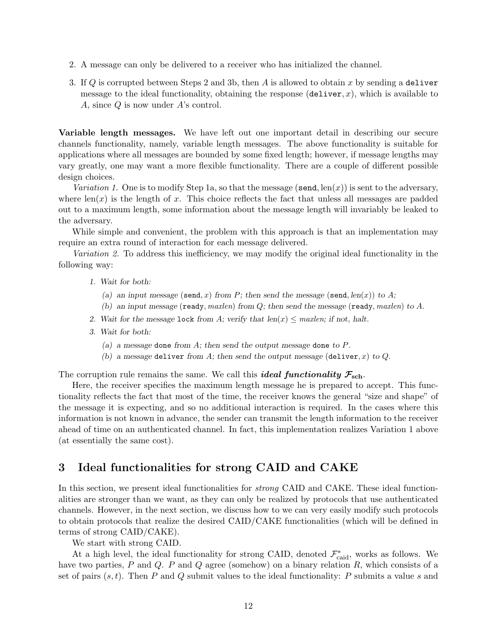- 2. A message can only be delivered to a receiver who has initialized the channel.
- 3. If Q is corrupted between Steps 2 and 3b, then A is allowed to obtain x by sending a deliver message to the ideal functionality, obtaining the response  $(\text{delay}, x)$ , which is available to A, since Q is now under A's control.

Variable length messages. We have left out one important detail in describing our secure channels functionality, namely, variable length messages. The above functionality is suitable for applications where all messages are bounded by some fixed length; however, if message lengths may vary greatly, one may want a more flexible functionality. There are a couple of different possible design choices.

Variation 1. One is to modify Step 1a, so that the message (send,  $len(x)$ ) is sent to the adversary, where  $len(x)$  is the length of x. This choice reflects the fact that unless all messages are padded out to a maximum length, some information about the message length will invariably be leaked to the adversary.

While simple and convenient, the problem with this approach is that an implementation may require an extra round of interaction for each message delivered.

Variation 2. To address this inefficiency, we may modify the original ideal functionality in the following way:

- 1. Wait for both:
	- (a) an input message (send, x) from P; then send the message (send, len(x)) to A;
	- (b) an input message (ready, maxlen) from  $Q$ ; then send the message (ready, maxlen) to A.
- 2. Wait for the message lock from A; verify that  $len(x) \leq maxlen$ ; if not, halt.
- 3. Wait for both:
	- (a) a message done from A; then send the output message done to  $P$ .
	- (b) a message deliver from A; then send the output message (deliver, x) to  $Q$ .

The corruption rule remains the same. We call this *ideal functionality*  $\mathcal{F}_{\text{sch}}$ .

Here, the receiver specifies the maximum length message he is prepared to accept. This functionality reflects the fact that most of the time, the receiver knows the general "size and shape" of the message it is expecting, and so no additional interaction is required. In the cases where this information is not known in advance, the sender can transmit the length information to the receiver ahead of time on an authenticated channel. In fact, this implementation realizes Variation 1 above (at essentially the same cost).

## 3 Ideal functionalities for strong CAID and CAKE

In this section, we present ideal functionalities for *strong* CAID and CAKE. These ideal functionalities are stronger than we want, as they can only be realized by protocols that use authenticated channels. However, in the next section, we discuss how to we can very easily modify such protocols to obtain protocols that realize the desired CAID/CAKE functionalities (which will be defined in terms of strong CAID/CAKE).

We start with strong CAID.

At a high level, the ideal functionality for strong CAID, denoted  $\mathcal{F}^*_{\text{caid}}$ , works as follows. We have two parties,  $P$  and  $Q$ .  $P$  and  $Q$  agree (somehow) on a binary relation  $R$ , which consists of a set of pairs  $(s, t)$ . Then P and Q submit values to the ideal functionality: P submits a value s and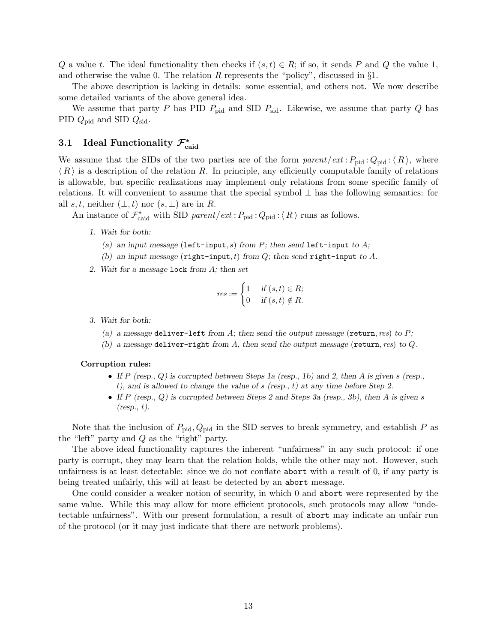Q a value t. The ideal functionality then checks if  $(s,t) \in R$ ; if so, it sends P and Q the value 1, and otherwise the value 0. The relation  $R$  represents the "policy", discussed in  $\S1$ .

The above description is lacking in details: some essential, and others not. We now describe some detailed variants of the above general idea.

We assume that party P has PID  $P_{\text{pid}}$  and SID  $P_{\text{sid}}$ . Likewise, we assume that party Q has PID  $Q_{\text{pid}}$  and SID  $Q_{\text{sid}}$ .

# 3.1 Ideal Functionality  $\mathcal{F}^*_{\text{caid}}$

We assume that the SIDs of the two parties are of the form  $parent/ext : P_{pid} : Q_{pid} : \langle R \rangle$ , where  $\langle R \rangle$  is a description of the relation R. In principle, any efficiently computable family of relations is allowable, but specific realizations may implement only relations from some specific family of relations. It will convenient to assume that the special symbol  $\perp$  has the following semantics: for all s, t, neither  $(\perp, t)$  nor  $(s, \perp)$  are in R.

An instance of  $\mathcal{F}^*_{\text{caid}}$  with SID parent/ext:  $P_{\text{pid}}$ :  $\langle R \rangle$  runs as follows.

- 1. Wait for both:
	- (a) an input message (left-input, s) from P; then send left-input to  $A$ ;
	- (b) an input message (right-input, t) from  $Q$ ; then send right-input to A.
- 2. Wait for a message lock from A; then set

$$
res := \begin{cases} 1 & \text{if } (s,t) \in R; \\ 0 & \text{if } (s,t) \notin R. \end{cases}
$$

- 3. Wait for both:
	- (a) a message deliver-left from A; then send the output message (return, res) to  $P$ ;
	- (b) a message deliver-right from A, then send the output message (return, res) to  $Q$ .

#### Corruption rules:

- If P (resp.,  $Q$ ) is corrupted between Steps 1a (resp., 1b) and 2, then A is given s (resp., t), and is allowed to change the value of  $s$  (resp., t) at any time before Step 2.
- If P (resp.,  $Q$ ) is corrupted between Steps 2 and Steps 3a (resp., 3b), then A is given s  $(resp., t).$

Note that the inclusion of  $P_{pid}$ ,  $Q_{pid}$  in the SID serves to break symmetry, and establish P as the "left" party and Q as the "right" party.

The above ideal functionality captures the inherent "unfairness" in any such protocol: if one party is corrupt, they may learn that the relation holds, while the other may not. However, such unfairness is at least detectable: since we do not conflate abort with a result of 0, if any party is being treated unfairly, this will at least be detected by an abort message.

One could consider a weaker notion of security, in which 0 and abort were represented by the same value. While this may allow for more efficient protocols, such protocols may allow "undetectable unfairness". With our present formulation, a result of abort may indicate an unfair run of the protocol (or it may just indicate that there are network problems).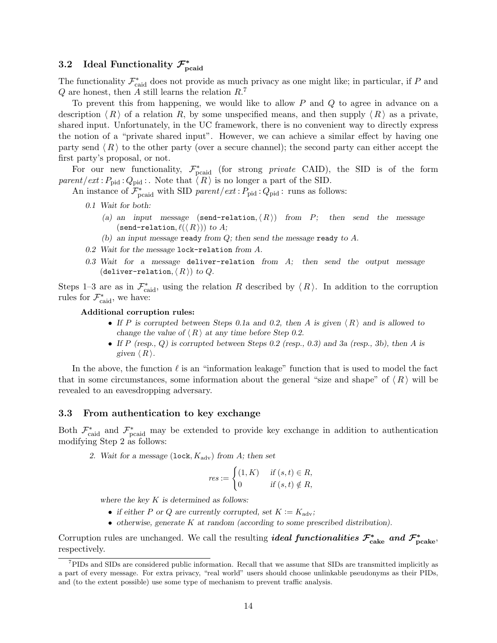# 3.2 Ideal Functionality  $\mathcal{F}^*_{\text{peaid}}$

The functionality  $\mathcal{F}^*_{\text{caid}}$  does not provide as much privacy as one might like; in particular, if P and  $Q$  are honest, then  $\ddot{A}$  still learns the relation  $R$ <sup>7</sup>.

To prevent this from happening, we would like to allow P and Q to agree in advance on a description  $\langle R \rangle$  of a relation R, by some unspecified means, and then supply  $\langle R \rangle$  as a private, shared input. Unfortunately, in the UC framework, there is no convenient way to directly express the notion of a "private shared input". However, we can achieve a similar effect by having one party send  $\langle R \rangle$  to the other party (over a secure channel); the second party can either accept the first party's proposal, or not.

For our new functionality,  $\mathcal{F}_{\text{pcaid}}^{*}$  (for strong *private* CAID), the SID is of the form parent/ext:  $P_{\text{pid}}$ :  $Q_{\text{pid}}$ :. Note that  $\langle R \rangle$  is no longer a part of the SID.

An instance of  $\mathcal{F}^*_{\text{peaid}}$  with SID parent/ext:  $P_{\text{pid}}$ :  $Q_{\text{pid}}$ : runs as follows:

- 0.1 Wait for both:
	- (a) an input message (send-relation,  $\langle R \rangle$ ) from P; then send the message (send-relation,  $\ell(\langle R \rangle)$ ) to A;
	- (b) an input message ready from  $Q$ ; then send the message ready to A.
- 0.2 Wait for the message lock-relation from A.
- 0.3 Wait for a message deliver-relation from  $A$ ; then send the output message (deliver-relation,  $\langle R \rangle$ ) to  $Q$ .

Steps 1–3 are as in  $\mathcal{F}^*_{\text{caid}}$ , using the relation R described by  $\langle R \rangle$ . In addition to the corruption rules for  $\mathcal{F}^*_{\text{caid}}$ , we have:

#### Additional corruption rules:

- If P is corrupted between Steps 0.1a and 0.2, then A is given  $\langle R \rangle$  and is allowed to change the value of  $\langle R \rangle$  at any time before Step 0.2.
- If P (resp.,  $Q$ ) is corrupted between Steps 0.2 (resp., 0.3) and 3a (resp., 3b), then A is given  $\langle R \rangle$ .

In the above, the function  $\ell$  is an "information leakage" function that is used to model the fact that in some circumstances, some information about the general "size and shape" of  $\langle R \rangle$  will be revealed to an eavesdropping adversary.

#### 3.3 From authentication to key exchange

Both  $\mathcal{F}^*_{\text{caid}}$  and  $\mathcal{F}^*_{\text{peaid}}$  may be extended to provide key exchange in addition to authentication modifying Step 2 as follows:

2. Wait for a message (lock,  $K_{\text{adv}}$ ) from A; then set

$$
res := \begin{cases} (1, K) & \text{if } (s, t) \in R, \\ 0 & \text{if } (s, t) \notin R, \end{cases}
$$

where the key  $K$  is determined as follows:

- if either P or Q are currently corrupted, set  $K := K_{\text{adv}}$ ;
- otherwise, generate K at random (according to some prescribed distribution).

Corruption rules are unchanged. We call the resulting *ideal functionalities*  $\mathcal{F}^*_{\text{cache}}$  and  $\mathcal{F}^*_{\text{package}}$ , respectively.

<sup>&</sup>lt;sup>7</sup>PIDs and SIDs are considered public information. Recall that we assume that SIDs are transmitted implicitly as a part of every message. For extra privacy, "real world" users should choose unlinkable pseudonyms as their PIDs, and (to the extent possible) use some type of mechanism to prevent traffic analysis.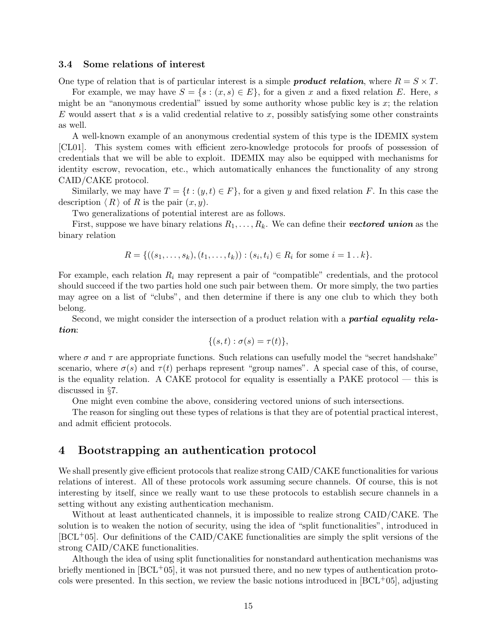#### 3.4 Some relations of interest

One type of relation that is of particular interest is a simple **product relation**, where  $R = S \times T$ .

For example, we may have  $S = \{s : (x, s) \in E\}$ , for a given x and a fixed relation E. Here, s might be an "anonymous credential" issued by some authority whose public key is  $x$ ; the relation  $E$  would assert that s is a valid credential relative to x, possibly satisfying some other constraints as well.

A well-known example of an anonymous credential system of this type is the IDEMIX system [CL01]. This system comes with efficient zero-knowledge protocols for proofs of possession of credentials that we will be able to exploit. IDEMIX may also be equipped with mechanisms for identity escrow, revocation, etc., which automatically enhances the functionality of any strong CAID/CAKE protocol.

Similarly, we may have  $T = \{t : (y, t) \in F\}$ , for a given y and fixed relation F. In this case the description  $\langle R \rangle$  of R is the pair  $(x, y)$ .

Two generalizations of potential interest are as follows.

First, suppose we have binary relations  $R_1, \ldots, R_k$ . We can define their **vectored union** as the binary relation

$$
R = \{ ((s_1, \ldots, s_k), (t_1, \ldots, t_k)) : (s_i, t_i) \in R_i \text{ for some } i = 1 \ldots k \}.
$$

For example, each relation  $R_i$  may represent a pair of "compatible" credentials, and the protocol should succeed if the two parties hold one such pair between them. Or more simply, the two parties may agree on a list of "clubs", and then determine if there is any one club to which they both belong.

Second, we might consider the intersection of a product relation with a **partial equality rela**tion:

$$
\{(s,t): \sigma(s) = \tau(t)\},\
$$

where  $\sigma$  and  $\tau$  are appropriate functions. Such relations can usefully model the "secret handshake" scenario, where  $\sigma(s)$  and  $\tau(t)$  perhaps represent "group names". A special case of this, of course, is the equality relation. A CAKE protocol for equality is essentially a PAKE protocol — this is discussed in §7.

One might even combine the above, considering vectored unions of such intersections.

The reason for singling out these types of relations is that they are of potential practical interest, and admit efficient protocols.

## 4 Bootstrapping an authentication protocol

We shall presently give efficient protocols that realize strong CAID/CAKE functionalities for various relations of interest. All of these protocols work assuming secure channels. Of course, this is not interesting by itself, since we really want to use these protocols to establish secure channels in a setting without any existing authentication mechanism.

Without at least authenticated channels, it is impossible to realize strong CAID/CAKE. The solution is to weaken the notion of security, using the idea of "split functionalities", introduced in  $[BCL<sup>+</sup>05]$ . Our definitions of the CAID/CAKE functionalities are simply the split versions of the strong CAID/CAKE functionalities.

Although the idea of using split functionalities for nonstandard authentication mechanisms was briefly mentioned in  $[BCL+05]$ , it was not pursued there, and no new types of authentication protocols were presented. In this section, we review the basic notions introduced in  $[BCL<sup>+</sup>05]$ , adjusting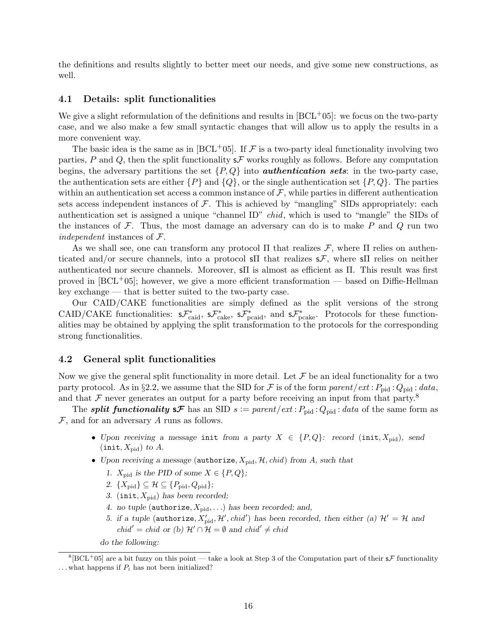the definitions and results slightly to better meet our needs, and give some new constructions, as well.

### 4.1 Details: split functionalities

We give a slight reformulation of the definitions and results in  $|BCL+05|$ : we focus on the two-party case, and we also make a few small syntactic changes that will allow us to apply the results in a more convenient way.

The basic idea is the same as in [BCL<sup>+</sup>05]. If F is a two-party ideal functionality involving two parties, P and Q, then the split functionality  $\mathfrak{S} \mathcal{F}$  works roughly as follows. Before any computation begins, the adversary partitions the set  $\{P, Q\}$  into **authentication sets**: in the two-party case, the authentication sets are either  $\{P\}$  and  $\{Q\}$ , or the single authentication set  $\{P,Q\}$ . The parties within an authentication set access a common instance of  $\mathcal{F}$ , while parties in different authentication sets access independent instances of  $\mathcal F$ . This is achieved by "mangling" SIDs appropriately: each authentication set is assigned a unique "channel ID" chid, which is used to "mangle" the SIDs of the instances of  $\mathcal F$ . Thus, the most damage an adversary can do is to make  $P$  and  $Q$  run two independent instances of F.

As we shall see, one can transform any protocol  $\Pi$  that realizes  $\mathcal{F}$ , where  $\Pi$  relies on authenticated and/or secure channels, into a protocol sΠ that realizes  $s\mathcal{F}$ , where sΠ relies on neither authenticated nor secure channels. Moreover, sΠ is almost as efficient as Π. This result was first proved in  $[BCL+05]$ ; however, we give a more efficient transformation — based on Diffie-Hellman key exchange — that is better suited to the two-party case.

Our CAID/CAKE functionalities are simply defined as the split versions of the strong CAID/CAKE functionalities:  $sF_{\text{caid}}^*$ ,  $sF_{\text{cake}}^*$ ,  $sF_{\text{pcaid}}^*$ , and  $sF_{\text{pcake}}^*$ . Protocols for these functionalities may be obtained by applying the split transformation to the protocols for the corresponding strong functionalities.

#### 4.2 General split functionalities

Now we give the general split functionality in more detail. Let  $\mathcal F$  be an ideal functionality for a two party protocol. As in §2.2, we assume that the SID for F is of the form parent/ext :  $P_{pid}$  :  $Q_{pid}$  : data, and that  $\mathcal F$  never generates an output for a party before receiving an input from that party.<sup>8</sup>

The **split functionality s** $\mathcal F$  has an SID  $s := parent/ext : P_{pid} : Q_{pid} : data$  of the same form as  $F$ , and for an adversary  $A$  runs as follows.

- Upon receiving a message init from a party  $X \in \{P, Q\}$ : record (init,  $X_{pid}$ ), send  $(int, X_{pid})$  to A.
- Upon receiving a message (authorize,  $X_{pid}$ ,  $\mathcal{H}$ , chid) from A, such that
	- 1.  $X_{pid}$  is the PID of some  $X \in \{P, Q\};$
	- 2.  $\{X_{\text{pid}}\}\subseteq \mathcal{H} \subseteq \{P_{\text{pid}}, Q_{\text{pid}}\};$
	- 3. (init,  $X_{pid}$ ) has been recorded;
	- 4. no tuple (authorize,  $X_{pid}, \ldots$ ) has been recorded; and,
	- 5. if a tuple (authorize,  $X'_{pid}$ ,  $\mathcal{H}'$ , chid') has been recorded, then either (a)  $\mathcal{H}' = \mathcal{H}$  and  $chi' = child$  or (b)  $\mathcal{H}' \cap \mathcal{H} = \emptyset$  and  $chid' \neq chid$

do the following:

 ${}^{8}[BCL+05]$  are a bit fuzzy on this point — take a look at Step 3 of the Computation part of their s $\mathcal F$  functionality  $\dots$  what happens if  $P_i$  has not been initialized?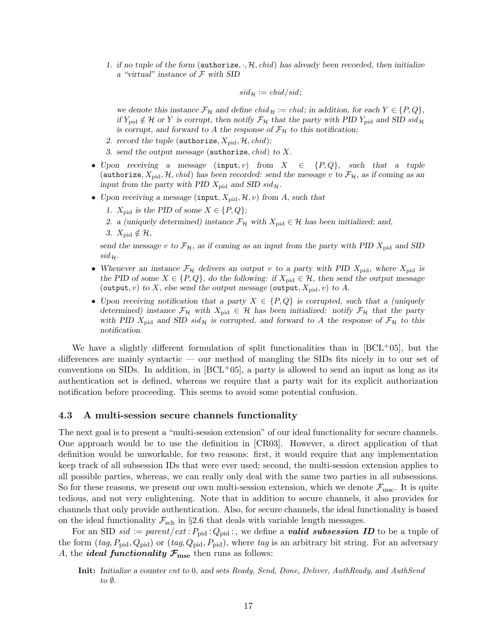1. if no tuple of the form (authorize,  $\cdot$ , H, chid) has already been recorded, then initialize a "virtual" instance of F with SID

$$
sid_{\mathcal{H}} := child/sid;
$$

we denote this instance  $\mathcal{F}_{\mathcal{H}}$  and define chid $\mathcal{H} := chid$ ; in addition, for each  $Y \in \{P, Q\}$ , if  $Y_{pid} \notin \mathcal{H}$  or Y is corrupt, then notify  $\mathcal{F}_{\mathcal{H}}$  that the party with PID  $Y_{pid}$  and SID sid<sub> $\mathcal{H}$ </sub> is corrupt, and forward to A the response of  $\mathcal{F}_{\mathcal{H}}$  to this notification;

- 2. record the tuple (authorize,  $X_{pid}$ ,  $\mathcal{H}$ , chid);
- 3. send the output message (authorize,  $chid$ ) to  $X$ .
- Upon receiving a message (input, v) from  $X \in \{P, Q\}$ , such that a tuple (authorize,  $X_{pid}$ ,  $H$ , chid) has been recorded: send the message v to  $\mathcal{F}_{H}$ , as if coming as an input from the party with PID  $X_{pid}$  and SID  $sid_{\mathcal{H}}$ .
- Upon receiving a message (input,  $X_{pid}$ ,  $\mathcal{H}, v$ ) from A, such that
	- 1.  $X_{\text{pid}}$  is the PID of some  $X \in \{P, Q\};$
	- 2. a (uniquely determined) instance  $\mathcal{F}_{\mathcal{H}}$  with  $X_{\text{pid}} \in \mathcal{H}$  has been initialized; and,
	- 3.  $X_{\text{pid}} \notin \mathcal{H}$ ,

send the message v to  $\mathcal{F}_{\mathcal{H}}$ , as if coming as an input from the party with PID  $X_{\text{pid}}$  and SID  $sid_{\mathcal{H}}$ .

- Whenever an instance  $\mathcal{F}_{\mathcal{H}}$  delivers an output v to a party with PID  $X_{\text{pid}}$ , where  $X_{\text{pid}}$  is the PID of some  $X \in \{P, Q\}$ , do the following: if  $X_{\text{pid}} \in \mathcal{H}$ , then send the output message (output,  $v)$  to  $X$ , else send the output message (output,  $X_{pid}$ ,  $v)$  to  $A$ .
- Upon receiving notification that a party  $X \in \{P, Q\}$  is corrupted, such that a (uniquely determined) instance  $\mathcal{F}_{\mathcal{H}}$  with  $X_{pid} \in \mathcal{H}$  has been initialized: notify  $\mathcal{F}_{\mathcal{H}}$  that the party with PID  $X_{pid}$  and SID sid<sub>H</sub> is corrupted, and forward to A the response of  $\mathcal{F}_{H}$  to this notification.

We have a slightly different formulation of split functionalities than in  $[BCL^+05]$ , but the differences are mainly syntactic — our method of mangling the SIDs fits nicely in to our set of conventions on SIDs. In addition, in  $[BCL<sup>+</sup>05]$ , a party is allowed to send an input as long as its authentication set is defined, whereas we require that a party wait for its explicit authorization notification before proceeding. This seems to avoid some potential confusion.

## 4.3 A multi-session secure channels functionality

The next goal is to present a "multi-session extension" of our ideal functionality for secure channels. One approach would be to use the definition in [CR03]. However, a direct application of that definition would be unworkable, for two reasons: first, it would require that any implementation keep track of all subsession IDs that were ever used; second, the multi-session extension applies to all possible parties, whereas, we can really only deal with the same two parties in all subsessions. So for these reasons, we present our own multi-session extension, which we denote  $\mathcal{F}_{\text{mse}}$ . It is quite tedious, and not very enlightening. Note that in addition to secure channels, it also provides for channels that only provide authentication. Also, for secure channels, the ideal functionality is based on the ideal functionality  $\mathcal{F}_{\text{sch}}$  in §2.6 that deals with variable length messages.

For an SID sid := parent/ext:  $P_{pid}$ :  $Q_{pid}$ :, we define a **valid subsession ID** to be a tuple of the form  $(tag, P_{pid}, Q_{pid})$  or  $(tag, Q_{pid}, P_{pid})$ , where tag is an arbitrary bit string. For an adversary A, the *ideal functionality*  $\mathcal{F}_{\text{mse}}$  then runs as follows:

Init: Initialize a counter cnt to 0, and sets Ready, Send, Done, Deliver, AuthReady, and AuthSend to ∅.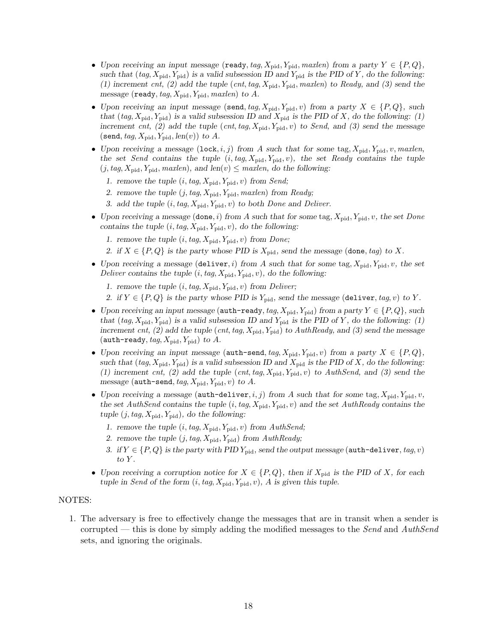- Upon receiving an input message (ready,  $tag, X_{pid}, Y_{pid}, \textit{maxlen})$  from a party  $Y \in \{P, Q\}$ , such that  $(tag, X_{pid}, Y_{pid})$  is a valid subsession ID and  $Y_{pid}$  is the PID of Y, do the following: (1) increment cnt, (2) add the tuple  $(\text{cnt}, \text{tag}, X_{pid}, Y_{pid}, \text{maxlen})$  to Ready, and (3) send the message (ready,  $tag, X_{pid}, Y_{pid}, mark$ en) to A.
- Upon receiving an input message (send,  $tag, X_{pid}, Y_{pid}, v$ ) from a party  $X \in \{P, Q\}$ , such that (tag,  $X_{pid}$ ,  $Y_{pid}$ ) is a valid subsession ID and  $X_{pid}$  is the PID of X, do the following: (1) increment cnt, (2) add the tuple  $(\text{cnt}, \text{tag}, X_{pid}, Y_{pid}, v)$  to Send, and (3) send the message (send,  $tag, X_{pid}, Y_{pid}, len(v)$ ) to A.
- Upon receiving a message  $(\texttt{lock}, i, j)$  from A such that for some tag,  $X_{pid}$ ,  $Y_{pid}$ ,  $v$ , maxlen, the set Send contains the tuple  $(i, tag, X_{pid}, Y_{pid}, v)$ , the set Ready contains the tuple  $(j, tag, X_{pid}, Y_{pid}, maxlen)$ , and len $(v) \leq maxlen$ , do the following:
	- 1. remove the tuple  $(i, tag, X_{pid}, Y_{pid}, v)$  from Send;
	- 2. remove the tuple  $(j, tag, X_{pid}, Y_{pid}, mark)$  from Ready;
	- 3. add the tuple  $(i, tag, X_{pid}, Y_{pid}, v)$  to both Done and Deliver.
- Upon receiving a message (done, i) from A such that for some tag,  $X_{pid}$ ,  $Y_{pid}$ ,  $v$ , the set Done contains the tuple  $(i, tag, X_{pid}, Y_{pid}, v)$ , do the following:
	- 1. remove the tuple  $(i, tag, X_{pid}, Y_{pid}, v)$  from Done;
	- 2. if  $X \in \{P, Q\}$  is the party whose PID is  $X_{\text{pid}}$ , send the message (done, tag) to X.
- Upon receiving a message (deliver, i) from A such that for some tag,  $X_{pid}$ ,  $Y_{pid}$ ,  $v$ , the set Deliver contains the tuple  $(i, tag, X_{pid}, Y_{pid}, v)$ , do the following:
	- 1. remove the tuple  $(i, tag, X_{pid}, Y_{pid}, v)$  from Deliver;
	- 2. if  $Y \in \{P, Q\}$  is the party whose PID is  $Y_{pid}$ , send the message (deliver, tag, v) to Y.
- Upon receiving an input message (auth-ready,  $tag, X_{pid}, Y_{pid}, Y_{pid}$ ) from a party  $Y \in \{P, Q\}$ , such that (tag,  $X_{pid}$ ,  $Y_{pid}$ ) is a valid subsession ID and  $Y_{pid}$  is the PID of Y, do the following: (1) increment cnt, (2) add the tuple (cnt, tag,  $X_{pid}$ ,  $Y_{pid}$ ) to AuthReady, and (3) send the message (auth-ready,  $tag, X_{pid}, Y_{pid}$ ) to A.
- Upon receiving an input message (auth-send,  $tag, X_{pid}, Y_{pid}, v)$  from a party  $X \in \{P, Q\}$ , such that (tag,  $X_{pid}$ ,  $Y_{pid}$ ) is a valid subsession ID and  $X_{pid}$  is the PID of X, do the following: (1) increment cnt, (2) add the tuple  $(\text{cnt}, \text{tag}, X_{pid}, Y_{pid}, v)$  to AuthSend, and (3) send the message (auth-send,  $tag, X_{pid}, Y_{pid}, v)$  to A.
- Upon receiving a message (auth-deliver, i, j) from A such that for some tag,  $X_{pid}$ ,  $Y_{pid}$ ,  $v$ , the set AuthSend contains the tuple  $(i, tag, X_{pid}, Y_{pid}, v)$  and the set AuthReady contains the tuple  $(j, tag, X_{pid}, Y_{pid})$ , do the following:
	- 1. remove the tuple  $(i, tag, X_{pid}, Y_{pid}, v)$  from AuthSend;
	- 2. remove the tuple  $(j, tag, X_{pid}, Y_{pid})$  from AuthReady;
	- 3. if  $Y \in \{P, Q\}$  is the party with PID Y<sub>pid</sub>, send the output message (auth-deliver, tag, v) to Y.
- Upon receiving a corruption notice for  $X \in \{P, Q\}$ , then if  $X_{\text{pid}}$  is the PID of X, for each tuple in Send of the form  $(i, tag, X_{pid}, Y_{pid}, v)$ , A is given this tuple.

#### NOTES:

1. The adversary is free to effectively change the messages that are in transit when a sender is corrupted — this is done by simply adding the modified messages to the *Send* and  $\text{Aut}h\text{Send}$ sets, and ignoring the originals.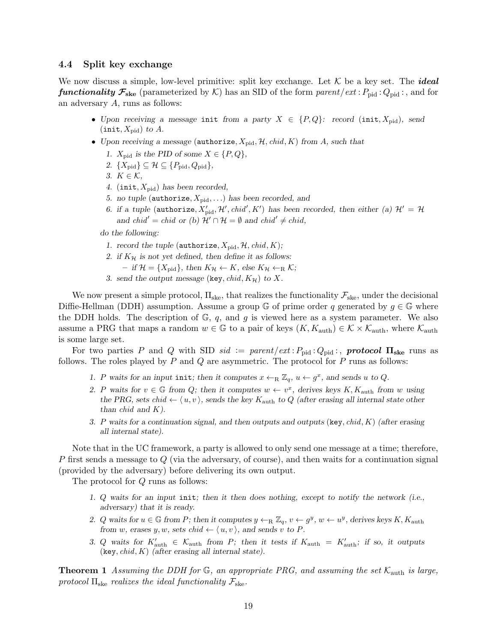## 4.4 Split key exchange

We now discuss a simple, low-level primitive: split key exchange. Let  $K$  be a key set. The *ideal* **functionality**  $\mathcal{F}_{\text{ske}}$  (parameterized by K) has an SID of the form parent/ext:  $P_{\text{pid}}$  : Q<sub>pid</sub>:, and for an adversary A, runs as follows:

- Upon receiving a message init from a party  $X \in \{P, Q\}$ : record (init,  $X_{pid}$ ), send  $(int, X_{pid})$  to A.
- Upon receiving a message (authorize,  $X_{pid}$ ,  $\mathcal{H}$ , chid,  $K$ ) from A, such that
	- 1.  $X_{pid}$  is the PID of some  $X \in \{P, Q\},\$
	- 2.  $\{X_{\text{pid}}\}\subseteq \mathcal{H} \subseteq \{P_{\text{pid}}, Q_{\text{pid}}\},\$
	- 3.  $K \in \mathcal{K}$ ,
	- 4. (init,  $X_{pid}$ ) has been recorded,
	- 5. no tuple (authorize,  $X_{pid}, \ldots$ ) has been recorded, and
	- 6. if a tuple (authorize,  $X'_{pid}$ ,  $\mathcal{H}'$ , chid', K') has been recorded, then either (a)  $\mathcal{H}' = \mathcal{H}$ and chid' = chid or (b)  $\mathcal{H}' \cap \mathcal{H} = \emptyset$  and chid'  $\neq$  chid,

do the following:

- 1. record the tuple (authorize,  $X_{pid}$ ,  $\mathcal{H}$ , chid,  $K$ );
- 2. if  $K_{\mathcal{H}}$  is not yet defined, then define it as follows:
	- if  $\mathcal{H} = \{X_{\text{pid}}\}$ , then  $K_{\mathcal{H}} \leftarrow K$ , else  $K_{\mathcal{H}} \leftarrow_R \mathcal{K}$ ;
- 3. send the output message (key, chid,  $K_{\mathcal{H}}$ ) to X.

We now present a simple protocol,  $\Pi_{\rm ske}$ , that realizes the functionality  $\mathcal{F}_{\rm ske}$ , under the decisional Diffie-Hellman (DDH) assumption. Assume a group  $\mathbb G$  of prime order q generated by  $g \in \mathbb G$  where the DDH holds. The description of  $\mathbb{G}$ , q, and q is viewed here as a system parameter. We also assume a PRG that maps a random  $w \in \mathbb{G}$  to a pair of keys  $(K, K_{\text{auth}}) \in \mathcal{K} \times \mathcal{K}_{\text{auth}}$ , where  $\mathcal{K}_{\text{auth}}$ is some large set.

For two parties P and Q with SID sid := parent/ext:  $P_{\text{pid}}$ :  $Q_{\text{pid}}$ :, protocol  $\Pi_{\text{ske}}$  runs as follows. The roles played by  $P$  and  $Q$  are asymmetric. The protocol for  $P$  runs as follows:

- 1. P waits for an input init; then it computes  $x \leftarrow_R \mathbb{Z}_q$ ,  $u \leftarrow g^x$ , and sends u to Q.
- 2. P waits for  $v \in \mathbb{G}$  from Q; then it computes  $w \leftarrow v^x$ , derives keys K, K<sub>auth</sub> from w using the PRG, sets chid  $\leftarrow \langle u, v \rangle$ , sends the key  $K_{\text{auth}}$  to Q (after erasing all internal state other than *chid* and  $K$ ).
- 3. P waits for a continuation signal, and then outputs and outputs (key, chid, K) (after erasing all internal state).

Note that in the UC framework, a party is allowed to only send one message at a time; therefore, P first sends a message to Q (via the adversary, of course), and then waits for a continuation signal (provided by the adversary) before delivering its own output.

The protocol for Q runs as follows:

- 1. Q waits for an input init; then it then does nothing, except to notify the network (i.e., adversary) that it is ready.
- 2. Q waits for  $u \in \mathbb{G}$  from P; then it computes  $y \leftarrow_R \mathbb{Z}_q$ ,  $v \leftarrow g^y$ ,  $w \leftarrow u^y$ , derives keys K,  $K_{\text{auth}}$ from w, erases y, w, sets chid  $\leftarrow \langle u, v \rangle$ , and sends v to P.
- 3. Q waits for  $K'_{\text{auth}} \in \mathcal{K}_{\text{auth}}$  from P; then it tests if  $K_{\text{auth}} = K'_{\text{auth}}$ ; if so, it outputs  $(key, child, K)$  (after erasing all internal state).

**Theorem 1** Assuming the DDH for  $\mathbb{G}$ , an appropriate PRG, and assuming the set  $\mathcal{K}_{\text{auth}}$  is large, protocol  $\Pi_{\rm ske}$  realizes the ideal functionality  $\mathcal{F}_{\rm ske}$ .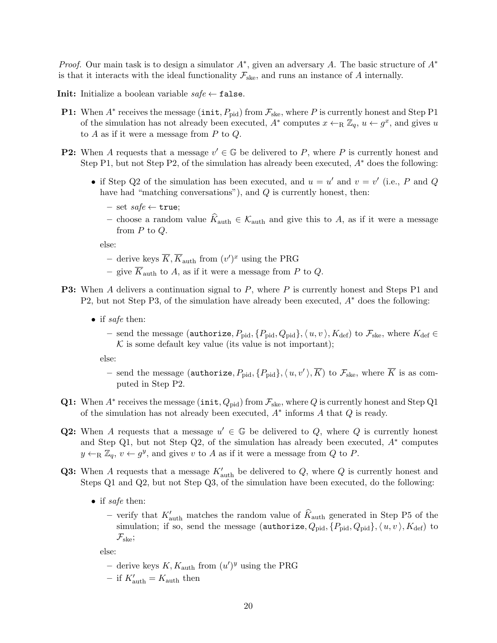*Proof.* Our main task is to design a simulator  $A^*$ , given an adversary A. The basic structure of  $A^*$ is that it interacts with the ideal functionality  $\mathcal{F}_{\text{ske}}$ , and runs an instance of A internally.

**Init:** Initialize a boolean variable  $\text{safe} \leftarrow \text{false}$ .

- **P1:** When  $A^*$  receives the message (init,  $P_{\text{pid}}$ ) from  $\mathcal{F}_{\text{ske}}$ , where P is currently honest and Step P1 of the simulation has not already been executed,  $A^*$  computes  $x \leftarrow_R \mathbb{Z}_q$ ,  $u \leftarrow g^x$ , and gives u to A as if it were a message from  $P$  to  $Q$ .
- **P2:** When A requests that a message  $v' \in \mathbb{G}$  be delivered to P, where P is currently honest and Step P1, but not Step P2, of the simulation has already been executed,  $A^*$  does the following:
	- if Step Q2 of the simulation has been executed, and  $u = u'$  and  $v = v'$  (i.e., P and Q have had "matching conversations"), and  $Q$  is currently honest, then:
		- set safe ← true;
		- choose a random value  $\widehat{K}_{\text{auth}}$  ∈  $\mathcal{K}_{\text{auth}}$  and give this to A, as if it were a message from P to Q.

else:

- derive keys  $\overline{K}, \overline{K}_{\text{auth}}$  from  $(v')^x$  using the PRG
- give  $\overline{K}_{\text{auth}}$  to A, as if it were a message from P to Q.
- **P3:** When A delivers a continuation signal to  $P$ , where  $P$  is currently honest and Steps P1 and P2, but not Step P3, of the simulation have already been executed,  $A^*$  does the following:
	- if *safe* then:
		- send the message (authorize,  $P_{pid}$ , { $P_{pid}$ ,  $Q_{pid}$ },  $\langle u, v \rangle$ ,  $K_{def}$ ) to  $\mathcal{F}_{ske}$ , where  $K_{def}$  ∈  $K$  is some default key value (its value is not important);

else:

- send the message (authorize,  $P_{\text{pid}}, \{P_{\text{pid}}\}, \langle u, v'\rangle, \overline{K})$  to  $\mathcal{F}_{\text{ske}},$  where  $\overline{K}$  is as computed in Step P2.
- Q1: When  $A^*$  receives the message (init,  $Q_{\text{pid}}$ ) from  $\mathcal{F}_{\text{ske}}$ , where  $Q$  is currently honest and Step Q1 of the simulation has not already been executed,  $A^*$  informs  $A$  that  $Q$  is ready.
- **Q2:** When A requests that a message  $u' \in \mathbb{G}$  be delivered to Q, where Q is currently honest and Step Q1, but not Step Q2, of the simulation has already been executed,  $A^*$  computes  $y \leftarrow_R \mathbb{Z}_q, v \leftarrow g^y$ , and gives v to A as if it were a message from Q to P.
- **Q3:** When A requests that a message  $K'_{\text{auth}}$  be delivered to Q, where Q is currently honest and Steps Q1 and Q2, but not Step Q3, of the simulation have been executed, do the following:
	- if *safe* then:
		- verify that  $K'_{\text{auth}}$  matches the random value of  $\hat{K}_{\text{auth}}$  generated in Step P5 of the simulation; if so, send the message (authorize,  $Q_{pid}$ ,  $\{P_{pid}, Q_{pid}\}, \langle u, v \rangle, K_{def}$ ) to  $\mathcal{F}_{\text{ske}}$ ;

else:

- derive keys  $K, K_{\text{auth}}$  from  $(u')^y$  using the PRG
- if  $K'_{\text{auth}} = K_{\text{auth}}$  then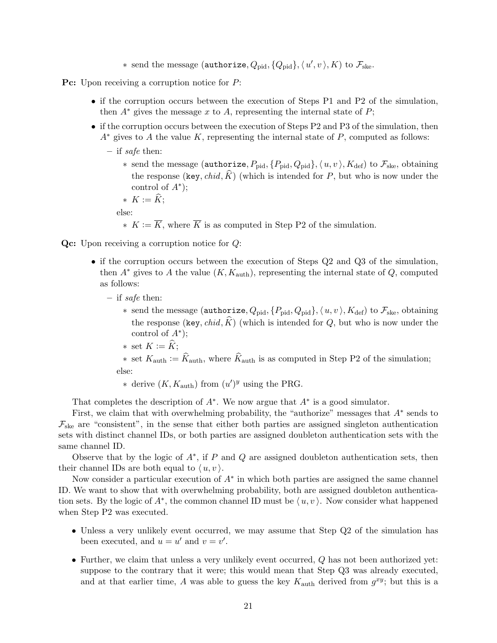\* send the message (authorize,  $Q_{\text{pid}}, \{Q_{\text{pid}}\}, \langle u', v \rangle, K$ ) to  $\mathcal{F}_{\text{ske}}$ .

**Pc:** Upon receiving a corruption notice for P:

- if the corruption occurs between the execution of Steps P1 and P2 of the simulation, then  $A^*$  gives the message x to A, representing the internal state of P;
- if the corruption occurs between the execution of Steps P2 and P3 of the simulation, then  $A^*$  gives to A the value K, representing the internal state of P, computed as follows:
	- $-$  if *safe* then:
		- ∗ send the message (authorize,  $P_{pid}$ ,  $\{P_{pid}, Q_{pid}\}, \langle u, v \rangle$ ,  $K_{def}$ ) to  $\mathcal{F}_{ske}$ , obtaining the response (key, *chid,*  $\hat{K}$ ) (which is intended for P, but who is now under the control of  $A^*$ );
		- $* K := \widehat{K}$ :
		- else:

 $\ast$  K :=  $\overline{K}$ , where  $\overline{K}$  is as computed in Step P2 of the simulation.

Qc: Upon receiving a corruption notice for Q:

- if the corruption occurs between the execution of Steps Q2 and Q3 of the simulation, then  $A^*$  gives to A the value  $(K, K_{\text{auth}})$ , representing the internal state of Q, computed as follows:
	- $-$  if *safe* then:
		- ∗ send the message (authorize,  $Q_{pid}$ ,  $\{P_{pid}, Q_{pid}\}, \langle u, v \rangle$ ,  $K_{def}$ ) to  $\mathcal{F}_{ske}$ , obtaining the response (key, *chid,*  $\widehat{K}$ ) (which is intended for Q, but who is now under the control of  $A^*$ );
		- ∗ set  $K := \widehat{K}$ ;
		- ∗ set  $K_{\text{auth}} := \widehat{K}_{\text{auth}}$ , where  $\widehat{K}_{\text{auth}}$  is as computed in Step P2 of the simulation; else:
			- \* derive  $(K, K_{\text{auth}})$  from  $(u')^y$  using the PRG.

That completes the description of  $A^*$ . We now argue that  $A^*$  is a good simulator.

First, we claim that with overwhelming probability, the "authorize" messages that  $A^*$  sends to  $\mathcal{F}_{\text{ske}}$  are "consistent", in the sense that either both parties are assigned singleton authentication sets with distinct channel IDs, or both parties are assigned doubleton authentication sets with the same channel ID.

Observe that by the logic of  $A^*$ , if P and Q are assigned doubleton authentication sets, then their channel IDs are both equal to  $\langle u, v \rangle$ .

Now consider a particular execution of  $A^*$  in which both parties are assigned the same channel ID. We want to show that with overwhelming probability, both are assigned doubleton authentication sets. By the logic of  $A^*$ , the common channel ID must be  $\langle u, v \rangle$ . Now consider what happened when Step P2 was executed.

- Unless a very unlikely event occurred, we may assume that Step Q2 of the simulation has been executed, and  $u = u'$  and  $v = v'$ .
- Further, we claim that unless a very unlikely event occurred,  $Q$  has not been authorized yet: suppose to the contrary that it were; this would mean that Step Q3 was already executed, and at that earlier time, A was able to guess the key  $K_{\text{auth}}$  derived from  $g^{xy}$ ; but this is a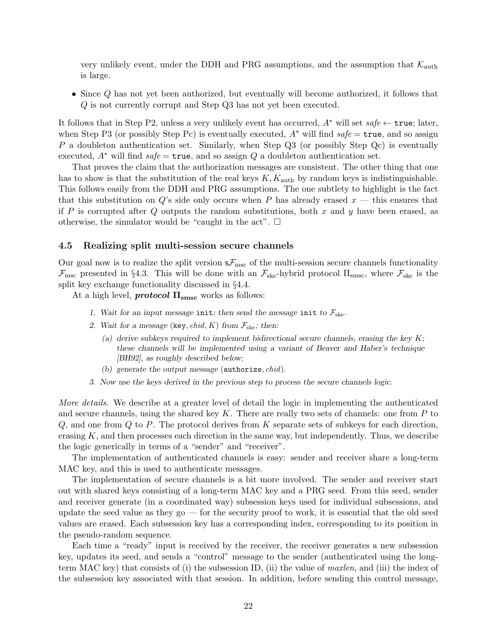very unlikely event, under the DDH and PRG assumptions, and the assumption that  $\mathcal{K}_{\text{auth}}$ is large.

• Since Q has not yet been authorized, but eventually will become authorized, it follows that Q is not currently corrupt and Step Q3 has not yet been executed.

It follows that in Step P2, unless a very unlikely event has occurred,  $A^*$  will set  $safe \leftarrow \text{true}$ ; later, when Step P3 (or possibly Step Pc) is eventually executed,  $A^*$  will find  $safe = \text{true}$ , and so assign P a doubleton authentication set. Similarly, when Step Q3 (or possibly Step Qc) is eventually executed,  $A^*$  will find safe = true, and so assign Q a doubleton authentication set.

That proves the claim that the authorization messages are consistent. The other thing that one has to show is that the substitution of the real keys  $K, K_{\text{auth}}$  by random keys is indistinguishable. This follows easily from the DDH and PRG assumptions. The one subtlety to highlight is the fact that this substitution on Q's side only occurs when P has already erased  $x$  — this ensures that if P is corrupted after  $Q$  outputs the random substitutions, both  $x$  and  $y$  have been erased, as otherwise, the simulator would be "caught in the act".  $\Box$ 

### 4.5 Realizing split multi-session secure channels

Our goal now is to realize the split version  $\zeta_{\text{msc}}$  of the multi-session secure channels functionality  $\mathcal{F}_{\text{mse}}$  presented in §4.3. This will be done with an  $\mathcal{F}_{\text{ske}}$ -hybrid protocol  $\Pi_{\text{smsc}}$ , where  $\mathcal{F}_{\text{ske}}$  is the split key exchange functionality discussed in §4.4.

At a high level, **protocol**  $\Pi_{\rm smsc}$  works as follows:

- 1. Wait for an input message init; then send the message init to  $\mathcal{F}_{\text{ske}}$ .
- 2. Wait for a message (key,  $chid, K$ ) from  $\mathcal{F}_{\text{ske}}$ ; then:
	- (a) derive subkeys required to implement bidirectional secure channels, erasing the key  $K$ ; these channels will be implemented using a variant of Beaver and Haber's technique [BH92], as roughly described below;
	- (b) generate the output message (authorize, chid).
- 3. Now use the keys derived in the previous step to process the secure channels logic.

More details. We describe at a greater level of detail the logic in implementing the authenticated and secure channels, using the shared key  $K$ . There are really two sets of channels: one from  $P$  to  $Q$ , and one from  $Q$  to  $P$ . The protocol derives from  $K$  separate sets of subkeys for each direction, erasing  $K$ , and then processes each direction in the same way, but independently. Thus, we describe the logic generically in terms of a "sender" and "receiver".

The implementation of authenticated channels is easy: sender and receiver share a long-term MAC key, and this is used to authenticate messages.

The implementation of secure channels is a bit more involved. The sender and receiver start out with shared keys consisting of a long-term MAC key and a PRG seed. From this seed, sender and receiver generate (in a coordinated way) subsession keys used for individual subsessions, and update the seed value as they  $\text{go}$  — for the security proof to work, it is essential that the old seed values are erased. Each subsession key has a corresponding index, corresponding to its position in the pseudo-random sequence.

Each time a "ready" input is received by the receiver, the receiver generates a new subsession key, updates its seed, and sends a "control" message to the sender (authenticated using the longterm MAC key) that consists of (i) the subsession ID, (ii) the value of maxlen, and (iii) the index of the subsession key associated with that session. In addition, before sending this control message,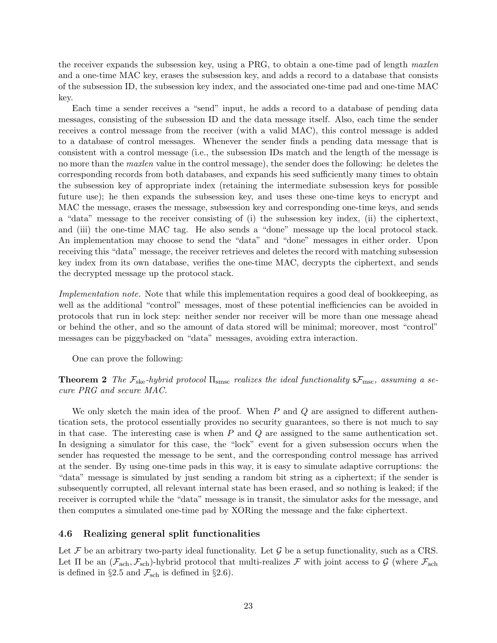the receiver expands the subsession key, using a PRG, to obtain a one-time pad of length *maxlen* and a one-time MAC key, erases the subsession key, and adds a record to a database that consists of the subsession ID, the subsession key index, and the associated one-time pad and one-time MAC key.

Each time a sender receives a "send" input, he adds a record to a database of pending data messages, consisting of the subsession ID and the data message itself. Also, each time the sender receives a control message from the receiver (with a valid MAC), this control message is added to a database of control messages. Whenever the sender finds a pending data message that is consistent with a control message (i.e., the subsession IDs match and the length of the message is no more than the maxlen value in the control message), the sender does the following: he deletes the corresponding records from both databases, and expands his seed sufficiently many times to obtain the subsession key of appropriate index (retaining the intermediate subsession keys for possible future use); he then expands the subsession key, and uses these one-time keys to encrypt and MAC the message, erases the message, subsession key and corresponding one-time keys, and sends a "data" message to the receiver consisting of (i) the subsession key index, (ii) the ciphertext, and (iii) the one-time MAC tag. He also sends a "done" message up the local protocol stack. An implementation may choose to send the "data" and "done" messages in either order. Upon receiving this "data" message, the receiver retrieves and deletes the record with matching subsession key index from its own database, verifies the one-time MAC, decrypts the ciphertext, and sends the decrypted message up the protocol stack.

Implementation note. Note that while this implementation requires a good deal of bookkeeping, as well as the additional "control" messages, most of these potential inefficiencies can be avoided in protocols that run in lock step: neither sender nor receiver will be more than one message ahead or behind the other, and so the amount of data stored will be minimal; moreover, most "control" messages can be piggybacked on "data" messages, avoiding extra interaction.

One can prove the following:

**Theorem 2** The  $\mathcal{F}_{\text{ske}}$ -hybrid protocol  $\Pi_{\text{smse}}$  realizes the ideal functionality  $s\mathcal{F}_{\text{mse}}$ , assuming a secure PRG and secure MAC.

We only sketch the main idea of the proof. When  $P$  and  $Q$  are assigned to different authentication sets, the protocol essentially provides no security guarantees, so there is not much to say in that case. The interesting case is when  $P$  and  $Q$  are assigned to the same authentication set. In designing a simulator for this case, the "lock" event for a given subsession occurs when the sender has requested the message to be sent, and the corresponding control message has arrived at the sender. By using one-time pads in this way, it is easy to simulate adaptive corruptions: the "data" message is simulated by just sending a random bit string as a ciphertext; if the sender is subsequently corrupted, all relevant internal state has been erased, and so nothing is leaked; if the receiver is corrupted while the "data" message is in transit, the simulator asks for the message, and then computes a simulated one-time pad by XORing the message and the fake ciphertext.

### 4.6 Realizing general split functionalities

Let F be an arbitrary two-party ideal functionality. Let G be a setup functionality, such as a CRS. Let  $\Pi$  be an  $(\mathcal{F}_{\text{ach}}, \mathcal{F}_{\text{sch}})$ -hybrid protocol that multi-realizes  $\mathcal F$  with joint access to  $\mathcal G$  (where  $\mathcal F_{\text{ach}}$ is defined in §2.5 and  $\mathcal{F}_{\text{sch}}$  is defined in §2.6).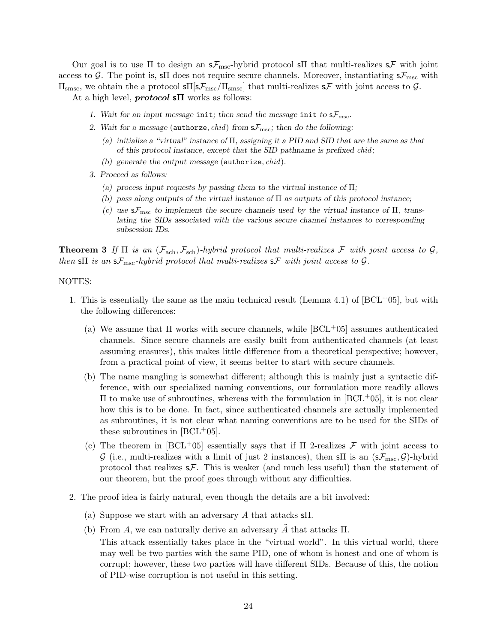Our goal is to use  $\Pi$  to design an  $s\mathcal{F}_{\text{mse}}$ -hybrid protocol  $s\Pi$  that multi-realizes  $s\mathcal{F}$  with joint access to G. The point is, sII does not require secure channels. Moreover, instantiating  $sF_{\text{mse}}$  with  $\Pi_{\text{smsc}}$ , we obtain the a protocol  $\text{s}\Pi[\text{s}\mathcal{F}_{\text{msc}}/\Pi_{\text{smsc}}]$  that multi-realizes  $\text{s}\mathcal{F}$  with joint access to  $\mathcal{G}$ .

At a high level, **protocol s** $\Pi$  works as follows:

- 1. Wait for an input message init; then send the message init to  $S_{\text{mse}}$ .
- 2. Wait for a message (authorze, chid) from  $sF_{\text{msc}}$ ; then do the following:
	- (a) initialize a "virtual" instance of Π, assigning it a PID and SID that are the same as that of this protocol instance, except that the SID pathname is prefixed chid;
	- (b) generate the output message (authorize,  $child$ ).
- 3. Proceed as follows:
	- (a) process input requests by passing them to the virtual instance of  $\Pi$ ;
	- (b) pass along outputs of the virtual instance of  $\Pi$  as outputs of this protocol instance;
	- (c) use  $S_{\text{rms}}$  to implement the secure channels used by the virtual instance of  $\Pi$ , translating the SIDs associated with the various secure channel instances to corresponding subsession IDs.

**Theorem 3** If  $\Pi$  is an  $(\mathcal{F}_{\text{ach}}, \mathcal{F}_{\text{sch}})$ -hybrid protocol that multi-realizes  $\mathcal F$  with joint access to  $\mathcal G$ , then  $s\Pi$  is an  $s\mathcal{F}_{\text{mse}}$ -hybrid protocol that multi-realizes  $s\mathcal{F}$  with joint access to  $\mathcal{G}$ .

### NOTES:

- 1. This is essentially the same as the main technical result (Lemma 4.1) of  $[BCL<sup>+</sup>05]$ , but with the following differences:
	- (a) We assume that  $\Pi$  works with secure channels, while  $[BCL<sup>+</sup>05]$  assumes authenticated channels. Since secure channels are easily built from authenticated channels (at least assuming erasures), this makes little difference from a theoretical perspective; however, from a practical point of view, it seems better to start with secure channels.
	- (b) The name mangling is somewhat different; although this is mainly just a syntactic difference, with our specialized naming conventions, our formulation more readily allows  $\Pi$  to make use of subroutines, whereas with the formulation in [BCL+05], it is not clear how this is to be done. In fact, since authenticated channels are actually implemented as subroutines, it is not clear what naming conventions are to be used for the SIDs of these subroutines in  $[BCL^+05]$ .
	- (c) The theorem in [BCL<sup>+</sup>05] essentially says that if  $\Pi$  2-realizes  $\mathcal F$  with joint access to G (i.e., multi-realizes with a limit of just 2 instances), then  $\overline{sf}$  is an  $(s\mathcal{F}_{\text{mse}}, \mathcal{G})$ -hybrid protocol that realizes  $s\mathcal{F}$ . This is weaker (and much less useful) than the statement of our theorem, but the proof goes through without any difficulties.
- 2. The proof idea is fairly natural, even though the details are a bit involved:
	- (a) Suppose we start with an adversary A that attacks  $\mathbf{s}\Pi$ .
	- (b) From A, we can naturally derive an adversary A that attacks  $\Pi$ .

This attack essentially takes place in the "virtual world". In this virtual world, there may well be two parties with the same PID, one of whom is honest and one of whom is corrupt; however, these two parties will have different SIDs. Because of this, the notion of PID-wise corruption is not useful in this setting.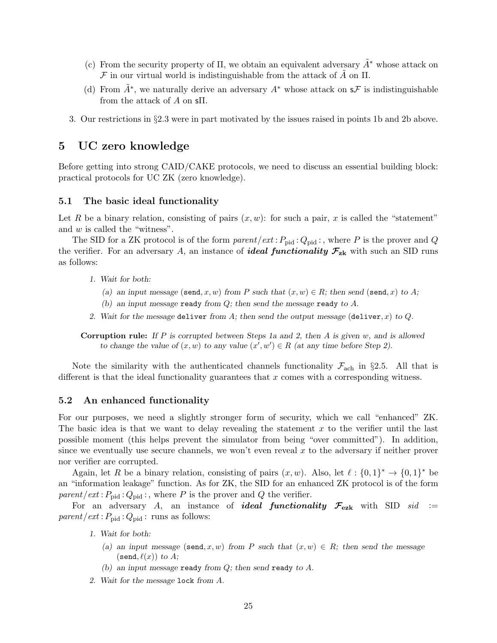- (c) From the security property of  $\Pi$ , we obtain an equivalent adversary  $\tilde{A}^*$  whose attack on F in our virtual world is indistinguishable from the attack of  $\tilde{A}$  on  $\Pi$ .
- (d) From  $\tilde{A}^*$ , we naturally derive an adversary  $A^*$  whose attack on  $\mathbf{s} \mathcal{F}$  is indistinguishable from the attack of  $A$  on  $\mathsf{s}\Pi$ .
- 3. Our restrictions in §2.3 were in part motivated by the issues raised in points 1b and 2b above.

# 5 UC zero knowledge

Before getting into strong CAID/CAKE protocols, we need to discuss an essential building block: practical protocols for UC ZK (zero knowledge).

#### 5.1 The basic ideal functionality

Let R be a binary relation, consisting of pairs  $(x, w)$ : for such a pair, x is called the "statement" and  $w$  is called the "witness".

The SID for a ZK protocol is of the form  $parent/ext : P_{pid} : Q_{pid} :$ , where P is the prover and Q the verifier. For an adversary A, an instance of *ideal functionality*  $\mathcal{F}_{\text{zk}}$  with such an SID runs as follows:

- 1. Wait for both:
	- (a) an input message (send, x, w) from P such that  $(x, w) \in R$ ; then send (send, x) to A;
	- (b) an input message ready from  $Q$ ; then send the message ready to  $A$ .
- 2. Wait for the message deliver from A; then send the output message (deliver,  $x$ ) to  $Q$ .

**Corruption rule:** If P is corrupted between Steps 1a and 2, then A is given w, and is allowed to change the value of  $(x, w)$  to any value  $(x', w') \in R$  (at any time before Step 2).

Note the similarity with the authenticated channels functionality  $\mathcal{F}_{\text{ach}}$  in §2.5. All that is different is that the ideal functionality guarantees that x comes with a corresponding witness.

#### 5.2 An enhanced functionality

For our purposes, we need a slightly stronger form of security, which we call "enhanced" ZK. The basic idea is that we want to delay revealing the statement  $x$  to the verifier until the last possible moment (this helps prevent the simulator from being "over committed"). In addition, since we eventually use secure channels, we won't even reveal  $x$  to the adversary if neither prover nor verifier are corrupted.

Again, let R be a binary relation, consisting of pairs  $(x, w)$ . Also, let  $\ell : \{0, 1\}^* \to \{0, 1\}^*$  be an "information leakage" function. As for ZK, the SID for an enhanced ZK protocol is of the form parent/ext:  $P_{\text{pid}}$ :  $Q_{\text{pid}}$ :, where P is the prover and Q the verifier.

For an adversary A, an instance of **ideal functionality**  $\mathcal{F}_{ezk}$  with SID sid :=  $parent/ext : P_{pid} : Q_{pid} : \text{runs as follows:}$ 

- 1. Wait for both:
	- (a) an input message (send, x, w) from P such that  $(x, w) \in R$ ; then send the message  $(\texttt{send}, \ell(x))$  to A;
	- (b) an input message ready from  $Q$ ; then send ready to  $A$ .
- 2. Wait for the message lock from A.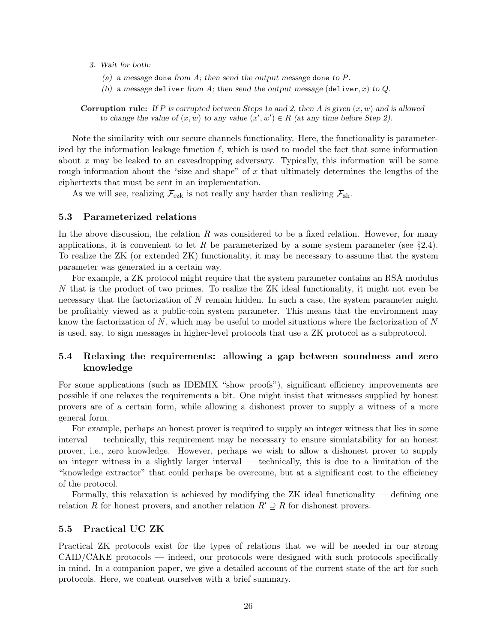- 3. Wait for both:
	- (a) a message done from A; then send the output message done to  $P$ .
	- (b) a message deliver from A; then send the output message (deliver, x) to  $Q$ .

**Corruption rule:** If P is corrupted between Steps 1a and 2, then A is given  $(x, w)$  and is allowed to change the value of  $(x, w)$  to any value  $(x', w') \in R$  (at any time before Step 2).

Note the similarity with our secure channels functionality. Here, the functionality is parameterized by the information leakage function  $\ell$ , which is used to model the fact that some information about  $x$  may be leaked to an eavesdropping adversary. Typically, this information will be some rough information about the "size and shape" of x that ultimately determines the lengths of the ciphertexts that must be sent in an implementation.

As we will see, realizing  $\mathcal{F}_{\text{ezk}}$  is not really any harder than realizing  $\mathcal{F}_{\text{zk}}$ .

#### 5.3 Parameterized relations

In the above discussion, the relation  $R$  was considered to be a fixed relation. However, for many applications, it is convenient to let R be parameterized by a some system parameter (see  $\S 2.4$ ). To realize the ZK (or extended ZK) functionality, it may be necessary to assume that the system parameter was generated in a certain way.

For example, a ZK protocol might require that the system parameter contains an RSA modulus N that is the product of two primes. To realize the ZK ideal functionality, it might not even be necessary that the factorization of  $N$  remain hidden. In such a case, the system parameter might be profitably viewed as a public-coin system parameter. This means that the environment may know the factorization of  $N$ , which may be useful to model situations where the factorization of  $N$ is used, say, to sign messages in higher-level protocols that use a ZK protocol as a subprotocol.

## 5.4 Relaxing the requirements: allowing a gap between soundness and zero knowledge

For some applications (such as IDEMIX "show proofs"), significant efficiency improvements are possible if one relaxes the requirements a bit. One might insist that witnesses supplied by honest provers are of a certain form, while allowing a dishonest prover to supply a witness of a more general form.

For example, perhaps an honest prover is required to supply an integer witness that lies in some interval — technically, this requirement may be necessary to ensure simulatability for an honest prover, i.e., zero knowledge. However, perhaps we wish to allow a dishonest prover to supply an integer witness in a slightly larger interval — technically, this is due to a limitation of the "knowledge extractor" that could perhaps be overcome, but at a significant cost to the efficiency of the protocol.

Formally, this relaxation is achieved by modifying the ZK ideal functionality — defining one relation R for honest provers, and another relation  $R' \supseteq R$  for dishonest provers.

## 5.5 Practical UC ZK

Practical ZK protocols exist for the types of relations that we will be needed in our strong CAID/CAKE protocols — indeed, our protocols were designed with such protocols specifically in mind. In a companion paper, we give a detailed account of the current state of the art for such protocols. Here, we content ourselves with a brief summary.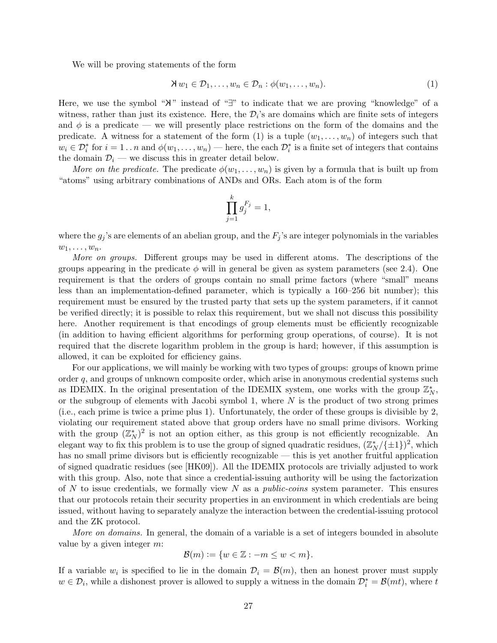We will be proving statements of the form

$$
\forall w_1 \in \mathcal{D}_1, \dots, w_n \in \mathcal{D}_n : \phi(w_1, \dots, w_n). \tag{1}
$$

Here, we use the symbol " $\lambda$ " instead of " $\exists$ " to indicate that we are proving "knowledge" of a witness, rather than just its existence. Here, the  $\mathcal{D}_i$ 's are domains which are finite sets of integers and  $\phi$  is a predicate — we will presently place restrictions on the form of the domains and the predicate. A witness for a statement of the form (1) is a tuple  $(w_1, \ldots, w_n)$  of integers such that  $w_i \in \mathcal{D}_i^*$  for  $i = 1 \dots n$  and  $\phi(w_1, \dots, w_n)$  — here, the each  $\mathcal{D}_i^*$  is a finite set of integers that contains the domain  $\mathcal{D}_i$  — we discuss this in greater detail below.

More on the predicate. The predicate  $\phi(w_1, \ldots, w_n)$  is given by a formula that is built up from "atoms" using arbitrary combinations of ANDs and ORs. Each atom is of the form

$$
\prod_{j=1}^k g_j^{F_j}=1,
$$

where the  $g_j$ 's are elements of an abelian group, and the  $F_j$ 's are integer polynomials in the variables  $w_1, \ldots, w_n$ .

More on groups. Different groups may be used in different atoms. The descriptions of the groups appearing in the predicate  $\phi$  will in general be given as system parameters (see 2.4). One requirement is that the orders of groups contain no small prime factors (where "small" means less than an implementation-defined parameter, which is typically a 160–256 bit number); this requirement must be ensured by the trusted party that sets up the system parameters, if it cannot be verified directly; it is possible to relax this requirement, but we shall not discuss this possibility here. Another requirement is that encodings of group elements must be efficiently recognizable (in addition to having efficient algorithms for performing group operations, of course). It is not required that the discrete logarithm problem in the group is hard; however, if this assumption is allowed, it can be exploited for efficiency gains.

For our applications, we will mainly be working with two types of groups: groups of known prime order  $q$ , and groups of unknown composite order, which arise in anonymous credential systems such as IDEMIX. In the original presentation of the IDEMIX system, one works with the group  $\mathbb{Z}_N^*$ , or the subgroup of elements with Jacobi symbol 1, where  $N$  is the product of two strong primes (i.e., each prime is twice a prime plus 1). Unfortunately, the order of these groups is divisible by 2, violating our requirement stated above that group orders have no small prime divisors. Working with the group  $(\mathbb{Z}_N^*)^2$  is not an option either, as this group is not efficiently recognizable. An elegant way to fix this problem is to use the group of signed quadratic residues,  $(\mathbb{Z}_N^*/\{\pm 1\})^2$ , which has no small prime divisors but is efficiently recognizable — this is yet another fruitful application of signed quadratic residues (see [HK09]). All the IDEMIX protocols are trivially adjusted to work with this group. Also, note that since a credential-issuing authority will be using the factorization of N to issue credentials, we formally view N as a *public-coins* system parameter. This ensures that our protocols retain their security properties in an environment in which credentials are being issued, without having to separately analyze the interaction between the credential-issuing protocol and the ZK protocol.

*More on domains.* In general, the domain of a variable is a set of integers bounded in absolute value by a given integer  $m$ :

$$
\mathcal{B}(m) := \{ w \in \mathbb{Z} : -m \le w < m \}.
$$

If a variable  $w_i$  is specified to lie in the domain  $\mathcal{D}_i = \mathcal{B}(m)$ , then an honest prover must supply  $w \in \mathcal{D}_i$ , while a dishonest prover is allowed to supply a witness in the domain  $\mathcal{D}_i^* = \mathcal{B}(mt)$ , where t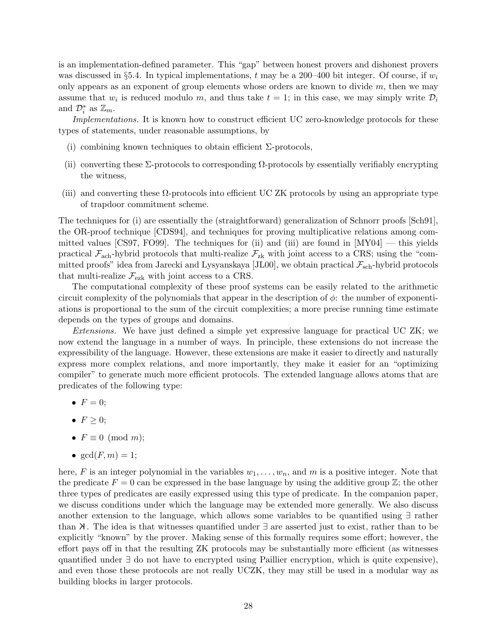is an implementation-defined parameter. This "gap" between honest provers and dishonest provers was discussed in §5.4. In typical implementations, t may be a 200–400 bit integer. Of course, if  $w_i$ only appears as an exponent of group elements whose orders are known to divide  $m$ , then we may assume that  $w_i$  is reduced modulo m, and thus take  $t = 1$ ; in this case, we may simply write  $\mathcal{D}_i$ and  $\mathcal{D}_i^*$  as  $\mathbb{Z}_m$ .

Implementations. It is known how to construct efficient UC zero-knowledge protocols for these types of statements, under reasonable assumptions, by

- (i) combining known techniques to obtain efficient  $\Sigma$ -protocols,
- (ii) converting these  $\Sigma$ -protocols to corresponding  $\Omega$ -protocols by essentially verifiably encrypting the witness,
- (iii) and converting these  $\Omega$ -protocols into efficient UC ZK protocols by using an appropriate type of trapdoor commitment scheme.

The techniques for (i) are essentially the (straightforward) generalization of Schnorr proofs [Sch91], the OR-proof technique [CDS94], and techniques for proving multiplicative relations among committed values  $[CS97, FO99]$ . The techniques for (ii) and (iii) are found in  $[MY04]$  — this yields practical  $\mathcal{F}_{\text{ach}}$ -hybrid protocols that multi-realize  $\mathcal{F}_{\text{zk}}$  with joint access to a CRS; using the "committed proofs" idea from Jarecki and Lysyanskaya [JL00], we obtain practical  $\mathcal{F}_{\text{sch}}$ -hybrid protocols that multi-realize  $\mathcal{F}_{\text{ezk}}$  with joint access to a CRS.

The computational complexity of these proof systems can be easily related to the arithmetic circuit complexity of the polynomials that appear in the description of  $\phi$ : the number of exponentiations is proportional to the sum of the circuit complexities; a more precise running time estimate depends on the types of groups and domains.

Extensions. We have just defined a simple yet expressive language for practical UC ZK; we now extend the language in a number of ways. In principle, these extensions do not increase the expressibility of the language. However, these extensions are make it easier to directly and naturally express more complex relations, and more importantly, they make it easier for an "optimizing compiler" to generate much more efficient protocols. The extended language allows atoms that are predicates of the following type:

- $F = 0$ ;
- $F \geq 0$ ;
- $F \equiv 0 \pmod{m}$ ;
- $gcd(F, m) = 1;$

here, F is an integer polynomial in the variables  $w_1, \ldots, w_n$ , and m is a positive integer. Note that the predicate  $F = 0$  can be expressed in the base language by using the additive group  $\mathbb{Z}$ ; the other three types of predicates are easily expressed using this type of predicate. In the companion paper, we discuss conditions under which the language may be extended more generally. We also discuss another extension to the language, which allows some variables to be quantified using ∃ rather than  $\lambda$ . The idea is that witnesses quantified under  $\exists$  are asserted just to exist, rather than to be explicitly "known" by the prover. Making sense of this formally requires some effort; however, the effort pays off in that the resulting ZK protocols may be substantially more efficient (as witnesses quantified under ∃ do not have to encrypted using Paillier encryption, which is quite expensive), and even those these protocols are not really UCZK, they may still be used in a modular way as building blocks in larger protocols.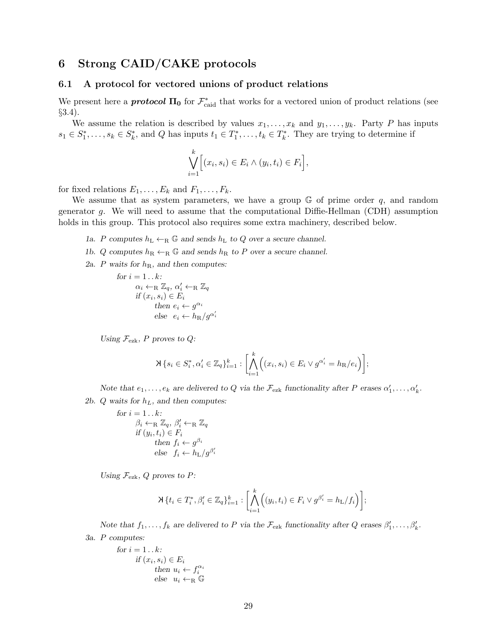# 6 Strong CAID/CAKE protocols

## 6.1 A protocol for vectored unions of product relations

We present here a **protocol**  $\Pi_0$  for  $\mathcal{F}^*_{\text{caid}}$  that works for a vectored union of product relations (see §3.4).

We assume the relation is described by values  $x_1, \ldots, x_k$  and  $y_1, \ldots, y_k$ . Party P has inputs  $s_1 \in S_1^*, \ldots, s_k \in S_k^*,$  and Q has inputs  $t_1 \in T_1^*, \ldots, t_k \in T_k^*.$  They are trying to determine if

$$
\bigvee_{i=1}^{k} \Big[ (x_i, s_i) \in E_i \land (y_i, t_i) \in F_i \Big],
$$

for fixed relations  $E_1, \ldots, E_k$  and  $F_1, \ldots, F_k$ .

We assume that as system parameters, we have a group  $\mathbb G$  of prime order q, and random generator g. We will need to assume that the computational Diffie-Hellman (CDH) assumption holds in this group. This protocol also requires some extra machinery, described below.

- 1a. P computes  $h_L \leftarrow_R \mathbb{G}$  and sends  $h_L$  to Q over a secure channel.
- 1b. Q computes  $h_R \leftarrow_R \mathbb{G}$  and sends  $h_R$  to P over a secure channel.

2a. P waits for  $h_{\rm R}$ , and then computes:

for 
$$
i = 1...k
$$
:  
\n $\alpha_i \leftarrow_R \mathbb{Z}_q, \alpha'_i \leftarrow_R \mathbb{Z}_q$   
\nif  $(x_i, s_i) \in E_i$   
\nthen  $e_i \leftarrow g^{\alpha_i}$   
\nelse  $e_i \leftarrow h_R / g^{\alpha'_i}$ 

Using  $\mathcal{F}_{\text{ezk}}$ , P proves to Q:

$$
\mathcal{H}\lbrace s_i \in S_i^*, \alpha'_i \in \mathbb{Z}_q \rbrace_{i=1}^k : \left[ \bigwedge_{i=1}^k \Bigl( (x_i, s_i) \in E_i \vee g^{\alpha'_i} = h_{\mathcal{R}}/e_i \Bigr) \right];
$$

Note that  $e_1, \ldots, e_k$  are delivered to Q via the  $\mathcal{F}_{\text{ezk}}$  functionality after P erases  $\alpha'_1, \ldots, \alpha'_k$ . 2b.  $Q$  waits for  $h_L$ , and then computes:

$$
\begin{aligned} \text{for } i &= 1 \dots k; \\ \beta_i &\leftarrow_R \mathbb{Z}_q, \, \beta'_i \leftarrow_R \mathbb{Z}_q \\ \text{if } (y_i, t_i) \in F_i \\ \text{then } f_i &\leftarrow g^{\beta_i} \\ \text{else } f_i &\leftarrow h_L / g^{\beta'_i} \end{aligned}
$$

Using  $\mathcal{F}_{\text{ezk}}$ , Q proves to P:

$$
\mathcal{H}\left\{t_i \in T_i^*, \beta_i' \in \mathbb{Z}_q\right\}_{i=1}^k : \bigg[\bigwedge_{i=1}^k \Bigl((y_i, t_i) \in F_i \vee g^{\beta_i'} = h_L/f_i\Bigr)\bigg];
$$

Note that  $f_1, \ldots, f_k$  are delivered to P via the  $\mathcal{F}_{\text{ezk}}$  functionality after Q erases  $\beta'_1, \ldots, \beta'_k$ . 3a. P computes:

for  $i = 1...k$ : if  $(x_i, s_i) \in E_i$ then  $u_i \leftarrow f_i^{\alpha_i}$ else  $u_i \leftarrow_R \mathbb{G}$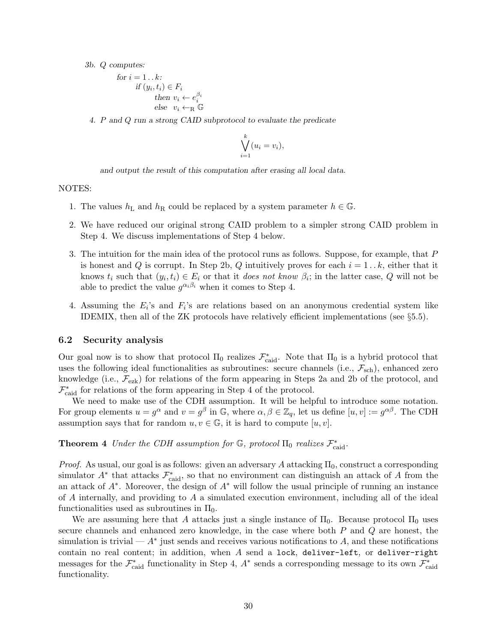3b. Q computes:

for 
$$
i = 1...k
$$
:  
\nif  $(y_i, t_i) \in F_i$   
\nthen  $v_i \leftarrow e_i^{\beta_i}$   
\nelse  $v_i \leftarrow_R \mathbb{G}$ 

4. P and Q run a strong CAID subprotocol to evaluate the predicate

$$
\bigvee_{i=1}^k (u_i = v_i),
$$

and output the result of this computation after erasing all local data.

#### NOTES:

- 1. The values  $h_L$  and  $h_R$  could be replaced by a system parameter  $h \in \mathbb{G}$ .
- 2. We have reduced our original strong CAID problem to a simpler strong CAID problem in Step 4. We discuss implementations of Step 4 below.
- 3. The intuition for the main idea of the protocol runs as follows. Suppose, for example, that P is honest and Q is corrupt. In Step 2b, Q intuitively proves for each  $i = 1 \dots k$ , either that it knows  $t_i$  such that  $(y_i, t_i) \in E_i$  or that it *does not know*  $\beta_i$ ; in the latter case, Q will not be able to predict the value  $g^{\alpha_i\beta_i}$  when it comes to Step 4.
- 4. Assuming the  $E_i$ 's and  $F_i$ 's are relations based on an anonymous credential system like IDEMIX, then all of the ZK protocols have relatively efficient implementations (see §5.5).

### 6.2 Security analysis

Our goal now is to show that protocol  $\Pi_0$  realizes  $\mathcal{F}^*_{\text{caid}}$ . Note that  $\Pi_0$  is a hybrid protocol that uses the following ideal functionalities as subroutines: secure channels (i.e.,  $\mathcal{F}_{sch}$ ), enhanced zero knowledge (i.e.,  $\mathcal{F}_{\text{ezk}}$ ) for relations of the form appearing in Steps 2a and 2b of the protocol, and  $\mathcal{F}^*_{\text{caid}}$  for relations of the form appearing in Step 4 of the protocol.

We need to make use of the CDH assumption. It will be helpful to introduce some notation. For group elements  $u = g^{\alpha}$  and  $v = g^{\beta}$  in G, where  $\alpha, \beta \in \mathbb{Z}_q$ , let us define  $[u, v] := g^{\alpha \beta}$ . The CDH assumption says that for random  $u, v \in \mathbb{G}$ , it is hard to compute [u, v].

**Theorem 4** Under the CDH assumption for  $\mathbb{G}$ , protocol  $\Pi_0$  realizes  $\mathcal{F}^*_{\text{caid}}$ .

*Proof.* As usual, our goal is as follows: given an adversary A attacking  $\Pi_0$ , construct a corresponding simulator  $A^*$  that attacks  $\mathcal{F}^*_{\text{caid}}$ , so that no environment can distinguish an attack of A from the an attack of  $A^*$ . Moreover, the design of  $A^*$  will follow the usual principle of running an instance of A internally, and providing to A a simulated execution environment, including all of the ideal functionalities used as subroutines in  $\Pi_0$ .

We are assuming here that A attacks just a single instance of  $\Pi_0$ . Because protocol  $\Pi_0$  uses secure channels and enhanced zero knowledge, in the case where both P and Q are honest, the simulation is trivial —  $A^*$  just sends and receives various notifications to A, and these notifications contain no real content; in addition, when  $A$  send a lock, deliver-left, or deliver-right messages for the  $\mathcal{F}^*_{\text{caid}}$  functionality in Step 4,  $A^*$  sends a corresponding message to its own  $\mathcal{F}^*_{\text{caid}}$ functionality.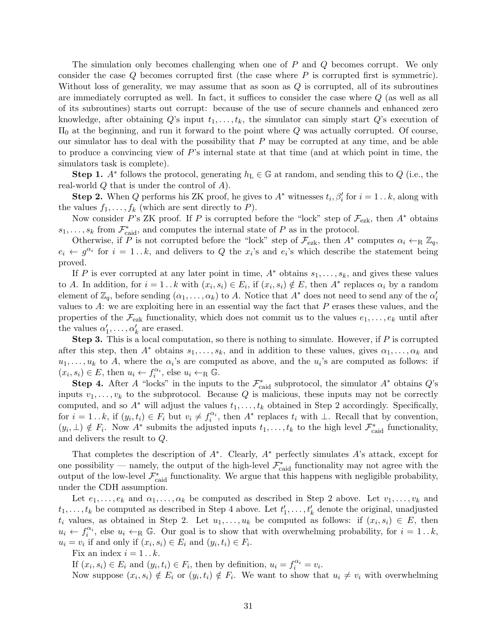The simulation only becomes challenging when one of P and Q becomes corrupt. We only consider the case  $Q$  becomes corrupted first (the case where  $P$  is corrupted first is symmetric). Without loss of generality, we may assume that as soon as  $Q$  is corrupted, all of its subroutines are immediately corrupted as well. In fact, it suffices to consider the case where  $Q$  (as well as all of its subroutines) starts out corrupt: because of the use of secure channels and enhanced zero knowledge, after obtaining Q's input  $t_1, \ldots, t_k$ , the simulator can simply start Q's execution of  $\Pi_0$  at the beginning, and run it forward to the point where Q was actually corrupted. Of course, our simulator has to deal with the possibility that  $P$  may be corrupted at any time, and be able to produce a convincing view of P's internal state at that time (and at which point in time, the simulators task is complete).

**Step 1.**  $A^*$  follows the protocol, generating  $h_L \in \mathbb{G}$  at random, and sending this to Q (i.e., the real-world  $Q$  that is under the control of  $A$ ).

**Step 2.** When Q performs his ZK proof, he gives to  $A^*$  witnesses  $t_i, \beta'_i$  for  $i = 1...k$ , along with the values  $f_1, \ldots, f_k$  (which are sent directly to P).

Now consider P's ZK proof. If P is corrupted before the "lock" step of  $\mathcal{F}_{\text{ezk}}$ , then  $A^*$  obtains  $s_1, \ldots, s_k$  from  $\mathcal{F}^*_{\text{caid}}$ , and computes the internal state of P as in the protocol.

Otherwise, if P is not corrupted before the "lock" step of  $\mathcal{F}_{\text{ezk}}$ , then  $A^*$  computes  $\alpha_i \leftarrow_R \mathbb{Z}_q$ ,  $e_i \leftarrow g^{\alpha_i}$  for  $i = 1..k$ , and delivers to Q the  $x_i$ 's and  $e_i$ 's which describe the statement being proved.

If P is ever corrupted at any later point in time,  $A^*$  obtains  $s_1, \ldots, s_k$ , and gives these values to A. In addition, for  $i = 1...k$  with  $(x_i, s_i) \in E_i$ , if  $(x_i, s_i) \notin E$ , then  $A^*$  replaces  $\alpha_i$  by a random element of  $\mathbb{Z}_q$ , before sending  $(\alpha_1, \ldots, \alpha_k)$  to A. Notice that  $A^*$  does not need to send any of the  $\alpha'_i$ values to  $A$ : we are exploiting here in an essential way the fact that  $P$  erases these values, and the properties of the  $\mathcal{F}_{\text{ezk}}$  functionality, which does not commit us to the values  $e_1, \ldots, e_k$  until after the values  $\alpha'_1, \ldots, \alpha'_k$  are erased.

Step 3. This is a local computation, so there is nothing to simulate. However, if P is corrupted after this step, then  $A^*$  obtains  $s_1, \ldots, s_k$ , and in addition to these values, gives  $\alpha_1, \ldots, \alpha_k$  and  $u_1, \ldots, u_k$  to A, where the  $\alpha_i$ 's are computed as above, and the  $u_i$ 's are computed as follows: if  $(x_i, s_i) \in E$ , then  $u_i \leftarrow f_i^{\alpha_i}$ , else  $u_i \leftarrow_R \mathbb{G}$ .

**Step 4.** After A "locks" in the inputs to the  $\mathcal{F}^*_{\text{caid}}$  subprotocol, the simulator  $A^*$  obtains  $Q$ 's inputs  $v_1, \ldots, v_k$  to the subprotocol. Because Q is malicious, these inputs may not be correctly computed, and so  $A^*$  will adjust the values  $t_1, \ldots, t_k$  obtained in Step 2 accordingly. Specifically, for  $i = 1...k$ , if  $(y_i, t_i) \in F_i$  but  $v_i \neq f_i^{\alpha_i}$ , then  $A^*$  replaces  $t_i$  with  $\perp$ . Recall that by convention,  $(y_i, \perp) \notin F_i$ . Now  $A^*$  submits the adjusted inputs  $t_1, \ldots, t_k$  to the high level  $\mathcal{F}_{\text{caid}}^*$  functionality, and delivers the result to Q.

That completes the description of  $A^*$ . Clearly,  $A^*$  perfectly simulates  $A$ 's attack, except for one possibility — namely, the output of the high-level  $\mathcal{F}^*_{\text{caid}}$  functionality may not agree with the output of the low-level  $\mathcal{F}^*_{\text{caid}}$  functionality. We argue that this happens with negligible probability, under the CDH assumption.

Let  $e_1, \ldots, e_k$  and  $\alpha_1, \ldots, \alpha_k$  be computed as described in Step 2 above. Let  $v_1, \ldots, v_k$  and  $t_1, \ldots, t_k$  be computed as described in Step 4 above. Let  $t'_1, \ldots, t'_k$  denote the original, unadjusted  $t_i$  values, as obtained in Step 2. Let  $u_1, \ldots, u_k$  be computed as follows: if  $(x_i, s_i) \in E$ , then  $u_i \leftarrow f_i^{\alpha_i}$ , else  $u_i \leftarrow_R \mathbb{G}$ . Our goal is to show that with overwhelming probability, for  $i = 1...k$ ,  $u_i = v_i$  if and only if  $(x_i, s_i) \in E_i$  and  $(y_i, t_i) \in F_i$ .

Fix an index  $i = 1...k$ .

If  $(x_i, s_i) \in E_i$  and  $(y_i, t_i) \in F_i$ , then by definition,  $u_i = f_i^{\alpha_i} = v_i$ .

Now suppose  $(x_i, s_i) \notin E_i$  or  $(y_i, t_i) \notin F_i$ . We want to show that  $u_i \neq v_i$  with overwhelming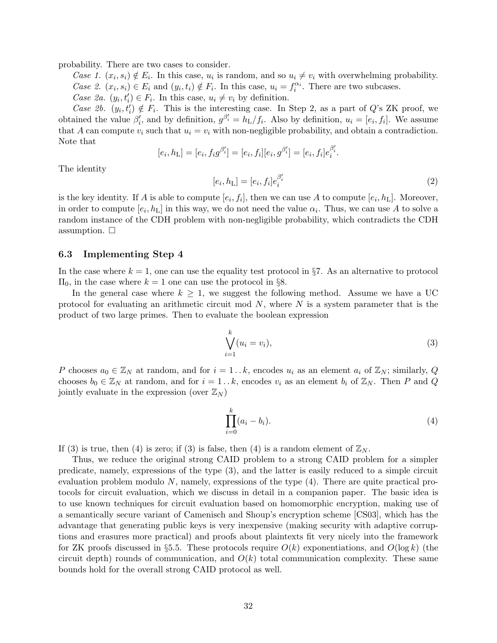probability. There are two cases to consider.

Case 1.  $(x_i, s_i) \notin E_i$ . In this case,  $u_i$  is random, and so  $u_i \neq v_i$  with overwhelming probability. Case 2.  $(x_i, s_i) \in E_i$  and  $(y_i, t_i) \notin F_i$ . In this case,  $u_i = f_i^{\alpha_i}$ . There are two subcases.

Case 2a.  $(y_i, t'_i) \in F_i$ . In this case,  $u_i \neq v_i$  by definition.

Case 2b.  $(y_i, t'_i) \notin F_i$ . This is the interesting case. In Step 2, as a part of Q's ZK proof, we obtained the value  $\beta'_i$ , and by definition,  $g^{\beta'_i} = h_L/f_i$ . Also by definition,  $u_i = [e_i, f_i]$ . We assume that A can compute  $v_i$  such that  $u_i = v_i$  with non-negligible probability, and obtain a contradiction. Note that

$$
[e_i, h_\mathcal{L}] = [e_i, f_i g^{\beta'_i}] = [e_i, f_i][e_i, g^{\beta'_i}] = [e_i, f_i]e_i^{\beta'_i}.
$$

The identity

$$
[e_i, h_{\rm L}] = [e_i, f_i]e_i^{\beta'_i} \tag{2}
$$

is the key identity. If A is able to compute  $[e_i, f_i]$ , then we can use A to compute  $[e_i, h_L]$ . Moreover, in order to compute  $[e_i, h_L]$  in this way, we do not need the value  $\alpha_i$ . Thus, we can use A to solve a random instance of the CDH problem with non-negligible probability, which contradicts the CDH assumption.  $\square$ 

## 6.3 Implementing Step 4

In the case where  $k = 1$ , one can use the equality test protocol in §7. As an alternative to protocol  $\Pi_0$ , in the case where  $k = 1$  one can use the protocol in §8.

In the general case where  $k \geq 1$ , we suggest the following method. Assume we have a UC protocol for evaluating an arithmetic circuit mod  $N$ , where  $N$  is a system parameter that is the product of two large primes. Then to evaluate the boolean expression

$$
\bigvee_{i=1}^{k} (u_i = v_i),\tag{3}
$$

P chooses  $a_0 \in \mathbb{Z}_N$  at random, and for  $i = 1...k$ , encodes  $u_i$  as an element  $a_i$  of  $\mathbb{Z}_N$ ; similarly, Q chooses  $b_0 \in \mathbb{Z}_N$  at random, and for  $i = 1 \dots k$ , encodes  $v_i$  as an element  $b_i$  of  $\mathbb{Z}_N$ . Then P and Q jointly evaluate in the expression (over  $\mathbb{Z}_N$ )

$$
\prod_{i=0}^{k} (a_i - b_i). \tag{4}
$$

If (3) is true, then (4) is zero; if (3) is false, then (4) is a random element of  $\mathbb{Z}_N$ .

Thus, we reduce the original strong CAID problem to a strong CAID problem for a simpler predicate, namely, expressions of the type (3), and the latter is easily reduced to a simple circuit evaluation problem modulo  $N$ , namely, expressions of the type  $(4)$ . There are quite practical protocols for circuit evaluation, which we discuss in detail in a companion paper. The basic idea is to use known techniques for circuit evaluation based on homomorphic encryption, making use of a semantically secure variant of Camenisch and Shoup's encryption scheme [CS03], which has the advantage that generating public keys is very inexpensive (making security with adaptive corruptions and erasures more practical) and proofs about plaintexts fit very nicely into the framework for ZK proofs discussed in §5.5. These protocols require  $O(k)$  exponentiations, and  $O(\log k)$  (the circuit depth) rounds of communication, and  $O(k)$  total communication complexity. These same bounds hold for the overall strong CAID protocol as well.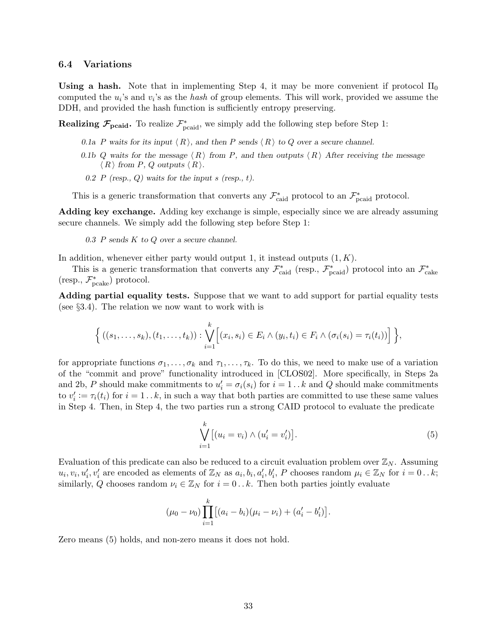### 6.4 Variations

Using a hash. Note that in implementing Step 4, it may be more convenient if protocol  $\Pi_0$ computed the  $u_i$ 's and  $v_i$ 's as the *hash* of group elements. This will work, provided we assume the DDH, and provided the hash function is sufficiently entropy preserving.

**Realizing**  $\mathcal{F}_{\text{pcaid}}$ **.** To realize  $\mathcal{F}_{\text{pcaid}}^*$ , we simply add the following step before Step 1:

- 0.1a P waits for its input  $\langle R \rangle$ , and then P sends  $\langle R \rangle$  to Q over a secure channel.
- 0.1b Q waits for the message  $\langle R \rangle$  from P, and then outputs  $\langle R \rangle$  After receiving the message  $\langle R \rangle$  from P, Q outputs  $\langle R \rangle$ .
- 0.2 P (resp.,  $Q$ ) waits for the input s (resp., t).

This is a generic transformation that converts any  $\mathcal{F}^*_{\text{caid}}$  protocol to an  $\mathcal{F}^*_{\text{pcaid}}$  protocol.

Adding key exchange. Adding key exchange is simple, especially since we are already assuming secure channels. We simply add the following step before Step 1:

0.3 P sends K to Q over a secure channel.

In addition, whenever either party would output 1, it instead outputs  $(1, K)$ .

This is a generic transformation that converts any  $\mathcal{F}^*_{\text{caid}}$  (resp.,  $\mathcal{F}^*_{\text{pcaid}}$ ) protocol into an  $\mathcal{F}^*_{\text{cake}}$ (resp.,  $\mathcal{F}_{\text{pcale}}^*$ ) protocol.

Adding partial equality tests. Suppose that we want to add support for partial equality tests (see §3.4). The relation we now want to work with is

$$
\Big\{ \left( (s_1,\ldots,s_k),(t_1,\ldots,t_k) \right) : \bigvee_{i=1}^k \Big[ (x_i,s_i) \in E_i \wedge (y_i,t_i) \in F_i \wedge (\sigma_i(s_i) = \tau_i(t_i)) \Big] \Big\},
$$

for appropriate functions  $\sigma_1, \ldots, \sigma_k$  and  $\tau_1, \ldots, \tau_k$ . To do this, we need to make use of a variation of the "commit and prove" functionality introduced in [CLOS02]. More specifically, in Steps 2a and 2b, P should make commitments to  $u'_i = \sigma_i(s_i)$  for  $i = 1...k$  and Q should make commitments to  $v_i' := \tau_i(t_i)$  for  $i = 1...k$ , in such a way that both parties are committed to use these same values in Step 4. Then, in Step 4, the two parties run a strong CAID protocol to evaluate the predicate

$$
\bigvee_{i=1}^{k} [(u_i = v_i) \wedge (u'_i = v'_i)].
$$
\n(5)

Evaluation of this predicate can also be reduced to a circuit evaluation problem over  $\mathbb{Z}_N$ . Assuming  $u_i, v_i, u'_i, v'_i$  are encoded as elements of  $\mathbb{Z}_N$  as  $a_i, b_i, a'_i, b'_i, P$  chooses random  $\mu_i \in \mathbb{Z}_N$  for  $i = 0 \dots k$ ; similarly, Q chooses random  $\nu_i \in \mathbb{Z}_N$  for  $i = 0 \dots k$ . Then both parties jointly evaluate

$$
(\mu_0 - \nu_0) \prod_{i=1}^k [(a_i - b_i)(\mu_i - \nu_i) + (a'_i - b'_i)].
$$

Zero means (5) holds, and non-zero means it does not hold.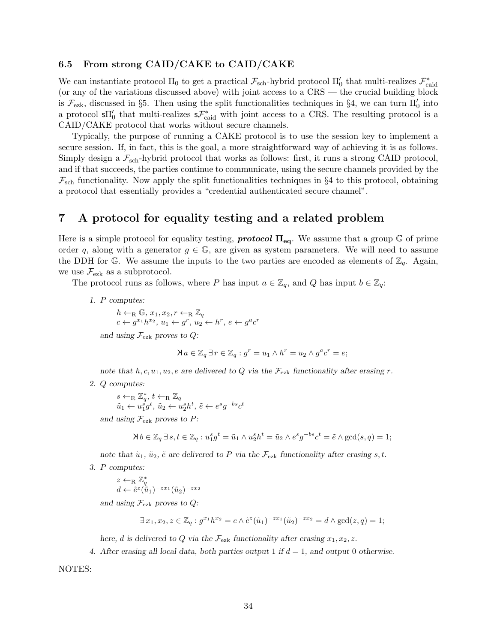## 6.5 From strong CAID/CAKE to CAID/CAKE

We can instantiate protocol  $\Pi_0$  to get a practical  $\mathcal{F}_{sch}$ -hybrid protocol  $\Pi'_0$  that multi-realizes  $\mathcal{F}_{cal}^*$ (or any of the variations discussed above) with joint access to a CRS — the crucial building block is  $\mathcal{F}_{\text{ezk}}$ , discussed in §5. Then using the split functionalities techniques in §4, we can turn  $\Pi_0'$  into a protocol  $\mathsf{s}\Pi_0'$  that multi-realizes  $\mathsf{s}\mathcal{F}^*_{\text{caid}}$  with joint access to a CRS. The resulting protocol is a CAID/CAKE protocol that works without secure channels.

Typically, the purpose of running a CAKE protocol is to use the session key to implement a secure session. If, in fact, this is the goal, a more straightforward way of achieving it is as follows. Simply design a  $\mathcal{F}_{\text{sch}}$ -hybrid protocol that works as follows: first, it runs a strong CAID protocol, and if that succeeds, the parties continue to communicate, using the secure channels provided by the  $\mathcal{F}_{\text{sch}}$  functionality. Now apply the split functionalities techniques in §4 to this protocol, obtaining a protocol that essentially provides a "credential authenticated secure channel".

# 7 A protocol for equality testing and a related problem

Here is a simple protocol for equality testing, **protocol**  $\Pi_{eq}$ . We assume that a group  $\mathbb{G}$  of prime order q, along with a generator  $g \in \mathbb{G}$ , are given as system parameters. We will need to assume the DDH for G. We assume the inputs to the two parties are encoded as elements of  $\mathbb{Z}_q$ . Again, we use  $\mathcal{F}_{\text{ezk}}$  as a subprotocol.

The protocol runs as follows, where P has input  $a \in \mathbb{Z}_q$ , and Q has input  $b \in \mathbb{Z}_q$ :

1. P computes:

$$
h \leftarrow_R \mathbb{G}, x_1, x_2, r \leftarrow_R \mathbb{Z}_q
$$
  

$$
c \leftarrow g^{x_1} h^{x_2}, u_1 \leftarrow g^r, u_2 \leftarrow h^r, e \leftarrow g^a c^r
$$
  
and using  $\mathcal{F}_{\text{ezk}}$  proves to Q:

$$
\lambda a \in \mathbb{Z}_q \exists r \in \mathbb{Z}_q : g^r = u_1 \wedge h^r = u_2 \wedge g^a c^r = e;
$$

note that  $h, c, u_1, u_2, e$  are delivered to Q via the  $\mathcal{F}_{\text{ezk}}$  functionality after erasing r.

2. Q computes:

$$
\begin{array}{l} s \leftarrow_{\mathrm{R}} \mathbb{Z}_q^*, \; t \leftarrow_{\mathrm{R}} \mathbb{Z}_q\\ \tilde{u}_1 \leftarrow u_1^s g^t, \; \tilde{u}_2 \leftarrow u_2^s h^t, \, \tilde{e} \leftarrow e^s g^{-bs} c^t \end{array}
$$

and using  $\mathcal{F}_{\text{ezk}}$  proves to P:

$$
\lambda b \in \mathbb{Z}_q \exists s, t \in \mathbb{Z}_q : u_1^s g^t = \tilde{u}_1 \wedge u_2^s h^t = \tilde{u}_2 \wedge e^s g^{-bs} c^t = \tilde{e} \wedge \gcd(s, q) = 1;
$$

note that  $\tilde{u}_1$ ,  $\tilde{u}_2$ ,  $\tilde{e}$  are delivered to P via the  $\mathcal{F}_{\text{ezk}}$  functionality after erasing s, t.

3. P computes:

$$
z \leftarrow_R \mathbb{Z}_q^*
$$
  

$$
d \leftarrow \tilde{e}^z(\tilde{u}_1)^{-z x_1}(\tilde{u}_2)^{-z x_2}
$$

and using  $\mathcal{F}_{\text{ezk}}$  proves to  $Q$ :

$$
\exists x_1, x_2, z \in \mathbb{Z}_q : g^{x_1} h^{x_2} = c \wedge \tilde{e}^z (\tilde{u}_1)^{-x x_1} (\tilde{u}_2)^{-x x_2} = d \wedge \gcd(z, q) = 1;
$$

here, d is delivered to Q via the  $\mathcal{F}_{\text{ezk}}$  functionality after erasing  $x_1, x_2, z$ .

4. After erasing all local data, both parties output 1 if  $d = 1$ , and output 0 otherwise.

NOTES: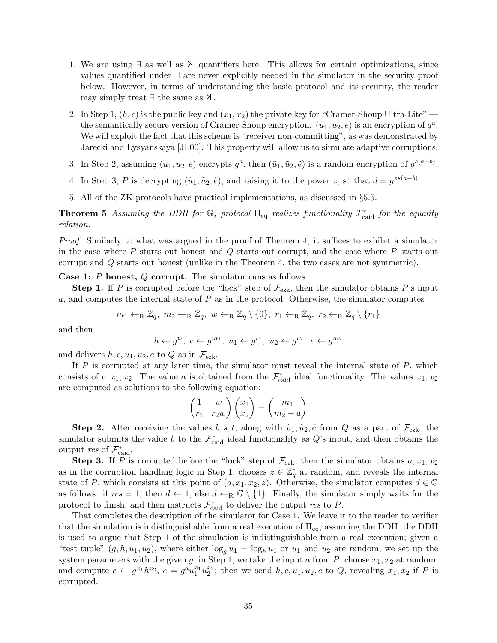- 1. We are using  $\exists$  as well as  $\lambda$  quantifiers here. This allows for certain optimizations, since values quantified under ∃ are never explicitly needed in the simulator in the security proof below. However, in terms of understanding the basic protocol and its security, the reader may simply treat  $\exists$  the same as  $\lambda$ .
- 2. In Step 1,  $(h, c)$  is the public key and  $(x_1, x_2)$  the private key for "Cramer-Shoup Ultra-Lite" the semantically secure version of Cramer-Shoup encryption.  $(u_1, u_2, e)$  is an encryption of  $g^a$ . We will exploit the fact that this scheme is "receiver non-committing", as was demonstrated by Jarecki and Lysyanskaya [JL00]. This property will allow us to simulate adaptive corruptions.
- 3. In Step 2, assuming  $(u_1, u_2, e)$  encrypts  $g^a$ , then  $(\tilde{u}_1, \tilde{u}_2, \tilde{e})$  is a random encryption of  $g^{s(a-b)}$ .
- 4. In Step 3, P is decrypting  $(\tilde{u}_1, \tilde{u}_2, \tilde{e})$ , and raising it to the power z, so that  $d = g^{zs(a-b)}$
- 5. All of the ZK protocols have practical implementations, as discussed in §5.5.

**Theorem 5** Assuming the DDH for  $\mathbb{G}$ , protocol  $\Pi_{eq}$  realizes functionality  $\mathcal{F}_{\text{caid}}^{*}$  for the equality relation.

Proof. Similarly to what was argued in the proof of Theorem 4, it suffices to exhibit a simulator in the case where  $P$  starts out honest and  $Q$  starts out corrupt, and the case where  $P$  starts out corrupt and Q starts out honest (unlike in the Theorem 4, the two cases are not symmetric).

Case 1: P honest, Q corrupt. The simulator runs as follows.

**Step 1.** If P is corrupted before the "lock" step of  $\mathcal{F}_{\text{ezk}}$ , then the simulator obtains P's input  $a$ , and computes the internal state of  $P$  as in the protocol. Otherwise, the simulator computes

 $m_1 \leftarrow_R \mathbb{Z}_q$ ,  $m_2 \leftarrow_R \mathbb{Z}_q$ ,  $w \leftarrow_R \mathbb{Z}_q \setminus \{0\}$ ,  $r_1 \leftarrow_R \mathbb{Z}_q$ ,  $r_2 \leftarrow_R \mathbb{Z}_q \setminus \{r_1\}$ 

and then

$$
h \leftarrow g^w, \ c \leftarrow g^{m_1}, \ u_1 \leftarrow g^{r_1}, \ u_2 \leftarrow g^{r_2}, \ e \leftarrow g^{m_2}
$$

and delivers  $h, c, u_1, u_2, e$  to Q as in  $\mathcal{F}_{\text{ezk}}$ .

If  $P$  is corrupted at any later time, the simulator must reveal the internal state of  $P$ , which consists of  $a, x_1, x_2$ . The value a is obtained from the  $\mathcal{F}^*_{\text{caid}}$  ideal functionality. The values  $x_1, x_2$ are computed as solutions to the following equation:

$$
\begin{pmatrix} 1 & w \ r_1 & r_2w \end{pmatrix} \begin{pmatrix} x_1 \ x_2 \end{pmatrix} = \begin{pmatrix} m_1 \ m_2 - a \end{pmatrix}
$$

**Step 2.** After receiving the values b, s, t, along with  $\tilde{u}_1, \tilde{u}_2, \tilde{e}$  from Q as a part of  $\mathcal{F}_{\text{ezk}}$ , the simulator submits the value b to the  $\mathcal{F}^*_{\text{caid}}$  ideal functionality as  $Q$ 's input, and then obtains the output res of  $\mathcal{F}^*_{\text{caid}}$ .

**Step 3.** If P is corrupted before the "lock" step of  $\mathcal{F}_{\text{ezk}}$ , then the simulator obtains  $a, x_1, x_2$ as in the corruption handling logic in Step 1, chooses  $z \in \mathbb{Z}_q^*$  at random, and reveals the internal state of P, which consists at this point of  $(a, x_1, x_2, z)$ . Otherwise, the simulator computes  $d \in \mathbb{G}$ as follows: if  $res = 1$ , then  $d \leftarrow 1$ , else  $d \leftarrow_R \mathbb{G} \setminus \{1\}$ . Finally, the simulator simply waits for the protocol to finish, and then instructs  $\mathcal{F}^*_{\text{caid}}$  to deliver the output res to P.

That completes the description of the simulator for Case 1. We leave it to the reader to verifier that the simulation is indistinguishable from a real execution of  $\Pi_{eq}$ , assuming the DDH: the DDH is used to argue that Step 1 of the simulation is indistinguishable from a real execution; given a "test tuple"  $(g, h, u_1, u_2)$ , where either  $\log_a u_1 = \log_h u_1$  or  $u_1$  and  $u_2$  are random, we set up the system parameters with the given g; in Step 1, we take the input a from P, choose  $x_1, x_2$  at random, and compute  $c \leftarrow g^{x_1} h^{x_2}, e = g^a u_1^{x_1} u_2^{x_2}$ ; then we send  $h, c, u_1, u_2, e$  to  $Q$ , revealing  $x_1, x_2$  if P is corrupted.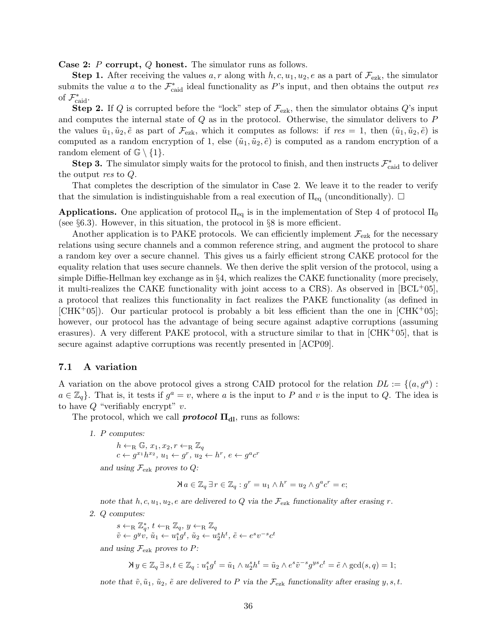Case 2: P corrupt, Q honest. The simulator runs as follows.

**Step 1.** After receiving the values  $a, r$  along with  $h, c, u_1, u_2, e$  as a part of  $\mathcal{F}_{\text{ezk}}$ , the simulator submits the value a to the  $\mathcal{F}^*_{\text{caid}}$  ideal functionality as P's input, and then obtains the output res of  $\mathcal{F}^*_{\text{caid}}$ .

**Step 2.** If Q is corrupted before the "lock" step of  $\mathcal{F}_{\text{ezk}}$ , then the simulator obtains Q's input and computes the internal state of  $Q$  as in the protocol. Otherwise, the simulator delivers to  $P$ the values  $\tilde{u}_1, \tilde{u}_2, \tilde{e}$  as part of  $\mathcal{F}_{\text{ezk}}$ , which it computes as follows: if  $res = 1$ , then  $(\tilde{u}_1, \tilde{u}_2, \tilde{e})$  is computed as a random encryption of 1, else  $(\tilde{u}_1, \tilde{u}_2, \tilde{e})$  is computed as a random encryption of a random element of  $\mathbb{G} \setminus \{1\}.$ 

**Step 3.** The simulator simply waits for the protocol to finish, and then instructs  $\mathcal{F}^*_{\text{caid}}$  to deliver the output res to Q.

That completes the description of the simulator in Case 2. We leave it to the reader to verify that the simulation is indistinguishable from a real execution of  $\Pi_{eq}$  (unconditionally).  $\Box$ 

**Applications.** One application of protocol  $\Pi_{eq}$  is in the implementation of Step 4 of protocol  $\Pi_0$ (see  $\S 6.3$ ). However, in this situation, the protocol in  $\S 8$  is more efficient.

Another application is to PAKE protocols. We can efficiently implement  $\mathcal{F}_{\text{exk}}$  for the necessary relations using secure channels and a common reference string, and augment the protocol to share a random key over a secure channel. This gives us a fairly efficient strong CAKE protocol for the equality relation that uses secure channels. We then derive the split version of the protocol, using a simple Diffie-Hellman key exchange as in §4, which realizes the CAKE functionality (more precisely, it multi-realizes the CAKE functionality with joint access to a CRS). As observed in  $[BCL+05]$ , a protocol that realizes this functionality in fact realizes the PAKE functionality (as defined in  $[CHK^+05]$ . Our particular protocol is probably a bit less efficient than the one in  $[CHK^+05]$ ; however, our protocol has the advantage of being secure against adaptive corruptions (assuming erasures). A very different PAKE protocol, with a structure similar to that in  $\text{[CHK}^+05]$ , that is secure against adaptive corruptions was recently presented in [ACP09].

## 7.1 A variation

A variation on the above protocol gives a strong CAID protocol for the relation  $DL := \{(a, g^a):$  $a \in \mathbb{Z}_q$ . That is, it tests if  $g^a = v$ , where a is the input to P and v is the input to Q. The idea is to have  $Q$  "verifiably encrypt"  $v$ .

The protocol, which we call **protocol**  $\Pi_{dl}$ , runs as follows:

1. P computes:

 $h \leftarrow_R \mathbb{G}, x_1, x_2, r \leftarrow_R \mathbb{Z}_q$  $c \leftarrow g^{x_1} h^{x_2}, u_1 \leftarrow g^r, u_2 \leftarrow h^r, e \leftarrow g^a c^r$ and using  $\mathcal{F}_{\text{ezk}}$  proves to  $Q$ :

$$
\lambda a \in \mathbb{Z}_q \exists r \in \mathbb{Z}_q : g^r = u_1 \wedge h^r = u_2 \wedge g^a c^r = e;
$$

note that  $h, c, u_1, u_2, e$  are delivered to Q via the  $\mathcal{F}_{\text{ezk}}$  functionality after erasing r.

2. Q computes:

$$
s \leftarrow_R \mathbb{Z}_q^*, t \leftarrow_R \mathbb{Z}_q, y \leftarrow_R \mathbb{Z}_q
$$
  

$$
\tilde{v} \leftarrow g^y v, \tilde{u}_1 \leftarrow u_1^s g^t, \tilde{u}_2 \leftarrow u_2^s h^t, \tilde{e} \leftarrow e^s v^{-s} c^t
$$

and using  $\mathcal{F}_{\text{ezk}}$  proves to P:

$$
\textstyle\lambda y\in\mathbb{Z}_q\,\exists\,s,t\in\mathbb{Z}_q:u_1^sg^t=\tilde u_1\wedge u_2^sh^t=\tilde u_2\wedge e^s\tilde v^{-s}g^{ys}c^t=\tilde e\wedge\gcd(s,q)=1;
$$

note that  $\tilde{v}, \tilde{u}_1, \tilde{u}_2, \tilde{e}$  are delivered to P via the  $\mathcal{F}_{\text{ezk}}$  functionality after erasing y, s, t.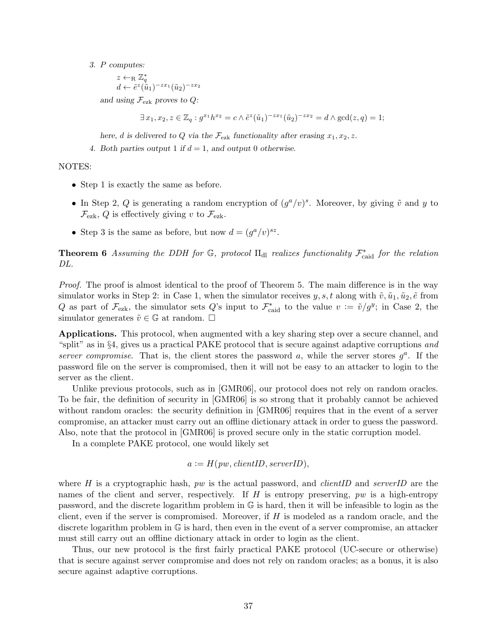3. P computes:

 $z \leftarrow_R \mathbb{Z}_q^*$ <br>  $d \leftarrow \tilde{e}^z(\tilde{u}_1)^{-zx_1}(\tilde{u}_2)^{-zx_2}$ 

and using  $\mathcal{F}_{\text{exk}}$  proves to Q:

 $\exists x_1, x_2, z \in \mathbb{Z}_q : g^{x_1} h^{x_2} = c \wedge \tilde{e}^z (\tilde{u}_1)^{-z x_1} (\tilde{u}_2)^{-z x_2} = d \wedge \gcd(z, q) = 1;$ 

here, d is delivered to Q via the  $\mathcal{F}_{\text{ezk}}$  functionality after erasing  $x_1, x_2, z$ .

4. Both parties output 1 if  $d = 1$ , and output 0 otherwise.

## NOTES:

- Step 1 is exactly the same as before.
- In Step 2, Q is generating a random encryption of  $(g^a/v)^s$ . Moreover, by giving  $\tilde{v}$  and y to  $\mathcal{F}_{\text{ezk}}, Q$  is effectively giving v to  $\mathcal{F}_{\text{ezk}}$ .
- Step 3 is the same as before, but now  $d = (g^a/v)^{sz}$ .

**Theorem 6** Assuming the DDH for  $\mathbb{G}$ , protocol  $\Pi_{dl}$  realizes functionality  $\mathcal{F}^*_{\text{caid}}$  for the relation DL.

Proof. The proof is almost identical to the proof of Theorem 5. The main difference is in the way simulator works in Step 2: in Case 1, when the simulator receives  $y, s, t$  along with  $\tilde{v}, \tilde{u}_1, \tilde{u}_2, \tilde{e}$  from Q as part of  $\mathcal{F}_{\text{ezk}}$ , the simulator sets Q's input to  $\mathcal{F}_{\text{caid}}^*$  to the value  $v := \tilde{v}/g^y$ ; in Case 2, the simulator generates  $\tilde{v} \in \mathbb{G}$  at random.  $\Box$ 

Applications. This protocol, when augmented with a key sharing step over a secure channel, and "split" as in  $\S 4$ , gives us a practical PAKE protocol that is secure against adaptive corruptions and server compromise. That is, the client stores the password a, while the server stores  $g^a$ . If the password file on the server is compromised, then it will not be easy to an attacker to login to the server as the client.

Unlike previous protocols, such as in [GMR06], our protocol does not rely on random oracles. To be fair, the definition of security in [GMR06] is so strong that it probably cannot be achieved without random oracles: the security definition in [GMR06] requires that in the event of a server compromise, an attacker must carry out an offline dictionary attack in order to guess the password. Also, note that the protocol in [GMR06] is proved secure only in the static corruption model.

In a complete PAKE protocol, one would likely set

$$
a := H(pw, clientID, serverID),
$$

where H is a cryptographic hash, pw is the actual password, and *clientID* and *serverID* are the names of the client and server, respectively. If  $H$  is entropy preserving,  $pw$  is a high-entropy password, and the discrete logarithm problem in G is hard, then it will be infeasible to login as the client, even if the server is compromised. Moreover, if H is modeled as a random oracle, and the discrete logarithm problem in G is hard, then even in the event of a server compromise, an attacker must still carry out an offline dictionary attack in order to login as the client.

Thus, our new protocol is the first fairly practical PAKE protocol (UC-secure or otherwise) that is secure against server compromise and does not rely on random oracles; as a bonus, it is also secure against adaptive corruptions.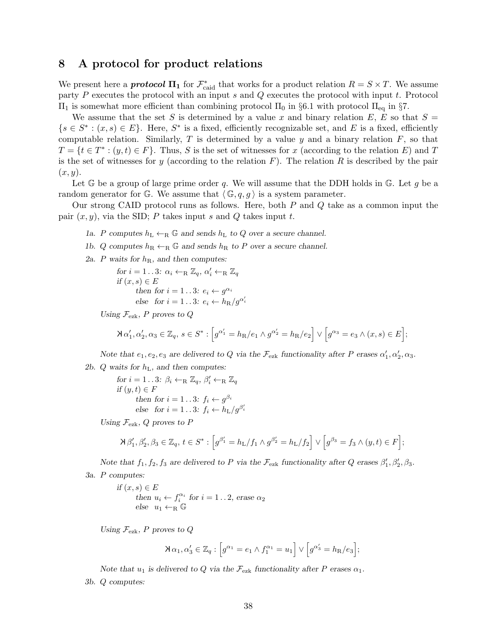## 8 A protocol for product relations

We present here a **protocol**  $\Pi_1$  for  $\mathcal{F}^*_{\text{caid}}$  that works for a product relation  $R = S \times T$ . We assume party  $P$  executes the protocol with an input  $s$  and  $Q$  executes the protocol with input  $t$ . Protocol  $\Pi_1$  is somewhat more efficient than combining protocol  $\Pi_0$  in §6.1 with protocol  $\Pi_{eq}$  in §7.

We assume that the set S is determined by a value x and binary relation E, E so that  $S =$  $\{s \in S^* : (x, s) \in E\}$ . Here,  $S^*$  is a fixed, efficiently recognizable set, and E is a fixed, efficiently computable relation. Similarly,  $T$  is determined by a value  $y$  and a binary relation  $F$ , so that  $T = \{t \in T^* : (y, t) \in F\}.$  Thus, S is the set of witnesses for x (according to the relation E) and T is the set of witnesses for y (according to the relation F). The relation R is described by the pair  $(x, y)$ .

Let  $\mathbb{G}$  be a group of large prime order q. We will assume that the DDH holds in  $\mathbb{G}$ . Let g be a random generator for G. We assume that  $\langle \mathbb{G}, q, g \rangle$  is a system parameter.

Our strong CAID protocol runs as follows. Here, both  $P$  and  $Q$  take as a common input the pair  $(x, y)$ , via the SID; P takes input s and Q takes input t.

- 1a. P computes  $h_L \leftarrow_R \mathbb{G}$  and sends  $h_L$  to Q over a secure channel.
- 1b. Q computes  $h_R \leftarrow_R \mathbb{G}$  and sends  $h_R$  to P over a secure channel.
- 2a. P waits for  $h_{\rm R}$ , and then computes:
	- for  $i = 1...3$ :  $\alpha_i \leftarrow_R \mathbb{Z}_q$ ,  $\alpha'_i \leftarrow_R \mathbb{Z}_q$ if  $(x, s) \in E$ then for  $i = 1...3$ :  $e_i \leftarrow g^{\alpha_i}$ else for  $i = 1...3$ :  $e_i \leftarrow h_R / g^{\alpha'_i}$

Using  $\mathcal{F}_{\text{ezk}}$ , P proves to Q

$$
\lambda \alpha'_1, \alpha'_2, \alpha_3 \in \mathbb{Z}_q, s \in S^* : \Big[g^{\alpha'_1} = h_R/e_1 \wedge g^{\alpha'_2} = h_R/e_2\Big] \vee \Big[g^{\alpha_3} = e_3 \wedge (x, s) \in E\Big];
$$

Note that  $e_1, e_2, e_3$  are delivered to Q via the  $\mathcal{F}_{\text{ezk}}$  functionality after P erases  $\alpha'_1, \alpha'_2, \alpha_3$ .

2b.  $Q$  waits for  $h_L$ , and then computes:

for  $i = 1...3$ :  $\beta_i \leftarrow_R \mathbb{Z}_q$ ,  $\beta'_i \leftarrow_R \mathbb{Z}_q$ if  $(y, t) \in F$ then for  $i = 1...3$ :  $f_i \leftarrow g^{\beta_i}$ else for  $i = 1...3$ :  $f_i \leftarrow h_L/g^{\beta'_i}$ 

Using  $\mathcal{F}_{\text{ezk}}, Q$  proves to P

$$
\mathcal{A} \,\beta_1', \beta_2', \beta_3 \in \mathbb{Z}_q, \, t \in S^* : \Big[ g^{\beta_1'} = h_L/f_1 \wedge g^{\beta_2'} = h_L/f_2 \Big] \vee \Big[ g^{\beta_3} = f_3 \wedge (y, t) \in F \Big];
$$

Note that  $f_1, f_2, f_3$  are delivered to P via the  $\mathcal{F}_{\text{ezk}}$  functionality after Q erases  $\beta'_1, \beta'_2, \beta_3$ . 3a. P computes:

if  $(x, s) \in E$ then  $u_i \leftarrow f_i^{\alpha_i}$  for  $i = 1...2$ , erase  $\alpha_2$ else  $u_1 \leftarrow_R \mathbb{G}$ 

Using  $\mathcal{F}_{\text{ezk}}$ , P proves to Q

$$
\lambda \alpha_1, \alpha'_3 \in \mathbb{Z}_q : \left[g^{\alpha_1} = e_1 \wedge f_1^{\alpha_1} = u_1\right] \vee \left[g^{\alpha'_3} = h_R/e_3\right];
$$

Note that  $u_1$  is delivered to Q via the  $\mathcal{F}_{\text{ezk}}$  functionality after P erases  $\alpha_1$ . 3b. Q computes: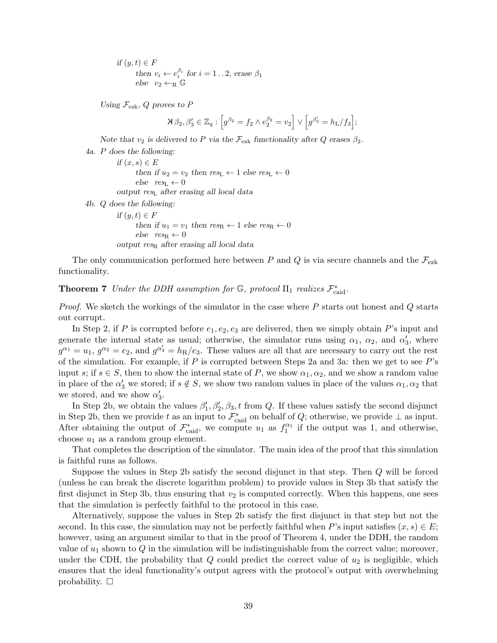if  $(y, t) \in F$ then  $v_i \leftarrow e_i^{\beta_i}$  for  $i = 1...2$ , erase  $\beta_1$ else  $v_2 \leftarrow_R \mathbb{G}$ 

Using  $\mathcal{F}_{\text{ezk}}$ , Q proves to P

$$
\mathsf{H} \,\beta_2, \beta_3' \in \mathbb{Z}_q : \Big[ g^{\beta_2} = f_2 \wedge e_2^{\beta_2} = v_2 \Big] \vee \Big[ g^{\beta_3'} = h_L / f_3 \Big];
$$

Note that  $v_2$  is delivered to P via the  $\mathcal{F}_{\text{ezk}}$  functionality after Q erases  $\beta_2$ .

4a. P does the following:

if  $(x, s) \in E$ then if  $u_2 = v_2$  then  $res_{L} \leftarrow 1$  else  $res_{L} \leftarrow 0$ else  $res_{L} \leftarrow 0$ output res<sup>L</sup> after erasing all local data

4b. Q does the following:

if  $(y, t) \in F$ then if  $u_1 = v_1$  then  $res_R \leftarrow 1$  else  $res_R \leftarrow 0$ else  $res_R \leftarrow 0$ output  $res_R$  after erasing all local data

The only communication performed here between P and Q is via secure channels and the  $\mathcal{F}_{\text{ezk}}$ functionality.

**Theorem 7** Under the DDH assumption for  $\mathbb{G}$ , protocol  $\Pi_1$  realizes  $\mathcal{F}^*_{\text{caid}}$ .

*Proof.* We sketch the workings of the simulator in the case where  $P$  starts out honest and  $Q$  starts out corrupt.

In Step 2, if P is corrupted before  $e_1, e_2, e_3$  are delivered, then we simply obtain P's input and generate the internal state as usual; otherwise, the simulator runs using  $\alpha_1$ ,  $\alpha_2$ , and  $\alpha'_3$ , where  $g^{\alpha_1} = u_1, g^{\alpha_2} = e_2$ , and  $g^{\alpha'_3} = h_R/e_3$ . These values are all that are necessary to carry out the rest of the simulation. For example, if  $P$  is corrupted between Steps 2a and 3a: then we get to see  $P$ 's input s; if  $s \in S$ , then to show the internal state of P, we show  $\alpha_1, \alpha_2$ , and we show a random value in place of the  $\alpha'_3$  we stored; if  $s \notin S$ , we show two random values in place of the values  $\alpha_1, \alpha_2$  that we stored, and we show  $\alpha'_3$ .

In Step 2b, we obtain the values  $\beta'_1$ ,  $\beta'_2$ ,  $\beta_3$ , t from Q. If these values satisfy the second disjunct in Step 2b, then we provide t as an input to  $\mathcal{F}^*_{\text{caid}}$  on behalf of Q; otherwise, we provide  $\perp$  as input. After obtaining the output of  $\mathcal{F}^*_{\text{caid}}$ , we compute  $u_1$  as  $f_1^{\alpha_1}$  if the output was 1, and otherwise, choose  $u_1$  as a random group element.

That completes the description of the simulator. The main idea of the proof that this simulation is faithful runs as follows.

Suppose the values in Step 2b satisfy the second disjunct in that step. Then Q will be forced (unless he can break the discrete logarithm problem) to provide values in Step 3b that satisfy the first disjunct in Step 3b, thus ensuring that  $v_2$  is computed correctly. When this happens, one sees that the simulation is perfectly faithful to the protocol in this case.

Alternatively, suppose the values in Step 2b satisfy the first disjunct in that step but not the second. In this case, the simulation may not be perfectly faithful when P's input satisfies  $(x, s) \in E$ ; however, using an argument similar to that in the proof of Theorem 4, under the DDH, the random value of  $u_1$  shown to  $Q$  in the simulation will be indistinguishable from the correct value; moreover, under the CDH, the probability that  $Q$  could predict the correct value of  $u_2$  is negligible, which ensures that the ideal functionality's output agrees with the protocol's output with overwhelming probability.  $\square$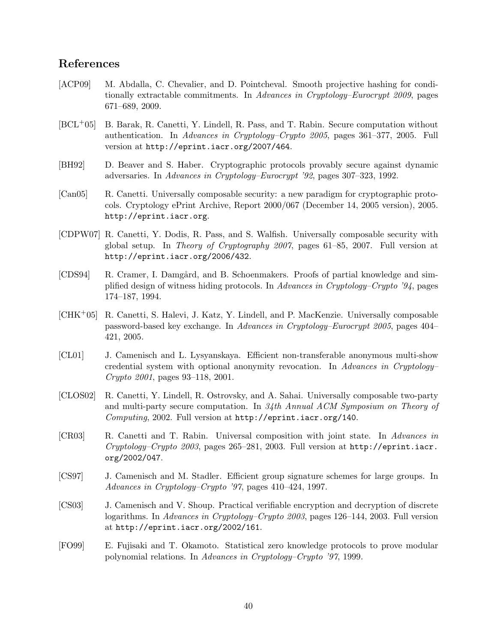# References

- [ACP09] M. Abdalla, C. Chevalier, and D. Pointcheval. Smooth projective hashing for conditionally extractable commitments. In Advances in Cryptology–Eurocrypt 2009, pages 671–689, 2009.
- [BCL+05] B. Barak, R. Canetti, Y. Lindell, R. Pass, and T. Rabin. Secure computation without authentication. In Advances in Cryptology–Crypto 2005, pages 361–377, 2005. Full version at http://eprint.iacr.org/2007/464.
- [BH92] D. Beaver and S. Haber. Cryptographic protocols provably secure against dynamic adversaries. In Advances in Cryptology–Eurocrypt '92, pages 307–323, 1992.
- [Can05] R. Canetti. Universally composable security: a new paradigm for cryptographic protocols. Cryptology ePrint Archive, Report 2000/067 (December 14, 2005 version), 2005. http://eprint.iacr.org.
- [CDPW07] R. Canetti, Y. Dodis, R. Pass, and S. Walfish. Universally composable security with global setup. In Theory of Cryptography 2007, pages 61–85, 2007. Full version at http://eprint.iacr.org/2006/432.
- [CDS94] R. Cramer, I. Damgård, and B. Schoenmakers. Proofs of partial knowledge and simplified design of witness hiding protocols. In Advances in Cryptology–Crypto '94, pages 174–187, 1994.
- [CHK+05] R. Canetti, S. Halevi, J. Katz, Y. Lindell, and P. MacKenzie. Universally composable password-based key exchange. In Advances in Cryptology–Eurocrypt 2005, pages 404– 421, 2005.
- [CL01] J. Camenisch and L. Lysyanskaya. Efficient non-transferable anonymous multi-show credential system with optional anonymity revocation. In Advances in Cryptology– Crypto 2001, pages 93–118, 2001.
- [CLOS02] R. Canetti, Y. Lindell, R. Ostrovsky, and A. Sahai. Universally composable two-party and multi-party secure computation. In  $34th$  Annual ACM Symposium on Theory of Computing, 2002. Full version at http://eprint.iacr.org/140.
- [CR03] R. Canetti and T. Rabin. Universal composition with joint state. In Advances in Cryptology–Crypto 2003, pages 265–281, 2003. Full version at http://eprint.iacr. org/2002/047.
- [CS97] J. Camenisch and M. Stadler. Efficient group signature schemes for large groups. In Advances in Cryptology–Crypto '97, pages 410–424, 1997.
- [CS03] J. Camenisch and V. Shoup. Practical verifiable encryption and decryption of discrete logarithms. In Advances in Cryptology–Crypto 2003, pages 126–144, 2003. Full version at http://eprint.iacr.org/2002/161.
- [FO99] E. Fujisaki and T. Okamoto. Statistical zero knowledge protocols to prove modular polynomial relations. In Advances in Cryptology–Crypto '97, 1999.